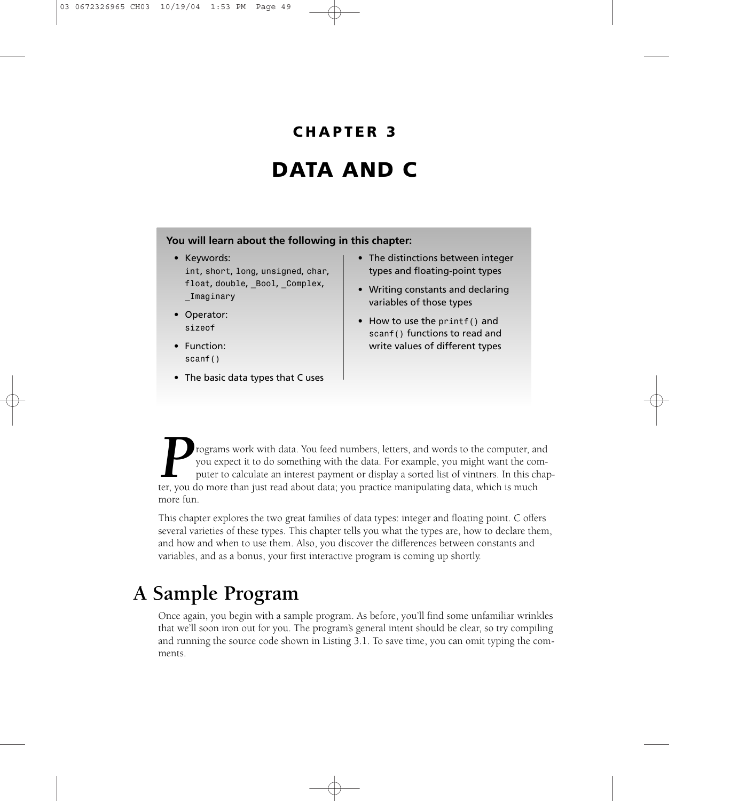## **CHAPTER 3**

# **DATA AND C**

#### **You will learn about the following in this chapter:**

- Keywords: *int*, *short*, *long*, *unsigned*, *char*, *float*, *double*, *\_Bool*, *\_Complex*, *\_Imaginary*
- Operator: *sizeof*
- Function: *scanf()*
- The basic data types that C uses
- The distinctions between integer types and floating-point types
- Writing constants and declaring variables of those types
- How to use the *printf()* and *scanf()* functions to read and write values of different types

rograms work with data. You feed numbers, letters, and words to the computer, and you expect it to do something with the data. For example, you might want the computer to calculate an interest payment or display a sorted list of vintners. In this chap-Tograms work with data. You feed numbers, letters, and words to the computer, and you expect it to do something with the data. For example, you might want the computer to calculate an interest payment or display a sorted l more fun.

This chapter explores the two great families of data types: integer and floating point. C offers several varieties of these types. This chapter tells you what the types are, how to declare them, and how and when to use them. Also, you discover the differences between constants and variables, and as a bonus, your first interactive program is coming up shortly.

# **A Sample Program**

Once again, you begin with a sample program. As before, you'll find some unfamiliar wrinkles that we'll soon iron out for you. The program's general intent should be clear, so try compiling and running the source code shown in Listing 3.1. To save time, you can omit typing the comments.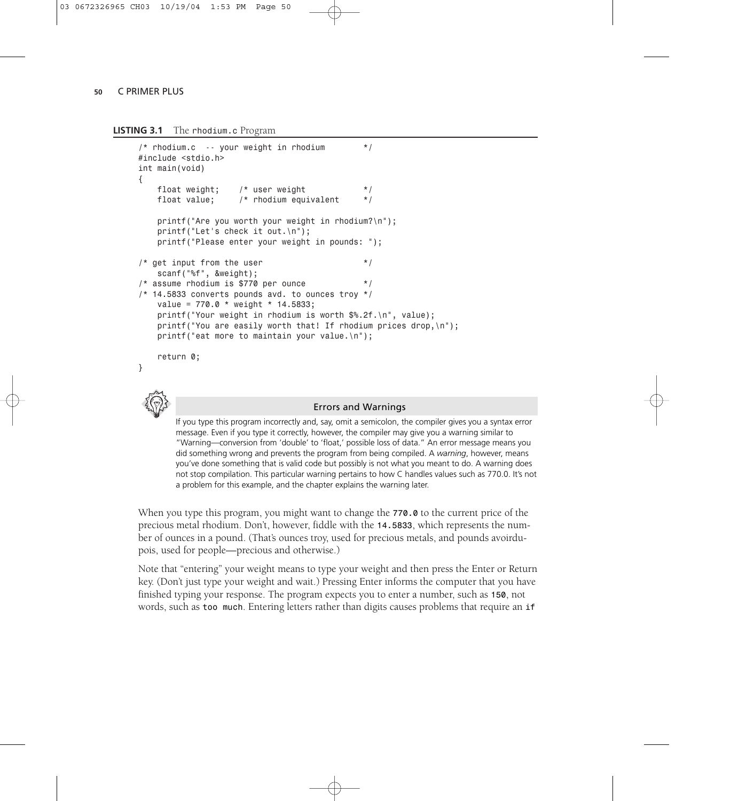```
LISTING 3.1 The rhodium.c Program
```

```
/* rhodium.c -- your weight in rhodium */
#include <stdio.h>
int main(void)
{
   float weight; /* user weight */
   float value; /* rhodium equivalent */
   printf("Are you worth your weight in rhodium?\n");
   printf("Let's check it out.\n");
   printf("Please enter your weight in pounds: ");
/* get input from the user */
   scanf("%f", &weight);
/* assume rhodium is $770 per ounce */
/* 14.5833 converts pounds avd. to ounces troy */
   value = 770.0 * weight * 14.5833;
   printf("Your weight in rhodium is worth $%.2f.\n", value);
   printf("You are easily worth that! If rhodium prices drop,\n");
   printf("eat more to maintain your value.\n");
   return 0;
}
```


#### Errors and Warnings

If you type this program incorrectly and, say, omit a semicolon, the compiler gives you a syntax error message. Even if you type it correctly, however, the compiler may give you a warning similar to "Warning—conversion from 'double' to 'float,' possible loss of data." An error message means you did something wrong and prevents the program from being compiled. A *warning*, however, means you've done something that is valid code but possibly is not what you meant to do. A warning does not stop compilation. This particular warning pertains to how C handles values such as 770.0. It's not a problem for this example, and the chapter explains the warning later.

When you type this program, you might want to change the **770.0** to the current price of the precious metal rhodium. Don't, however, fiddle with the *14.5833*, which represents the number of ounces in a pound. (That's ounces troy, used for precious metals, and pounds avoirdupois, used for people—precious and otherwise.)

Note that "entering" your weight means to type your weight and then press the Enter or Return key. (Don't just type your weight and wait.) Pressing Enter informs the computer that you have finished typing your response. The program expects you to enter a number, such as *150*, not words, such as *too much*. Entering letters rather than digits causes problems that require an *if*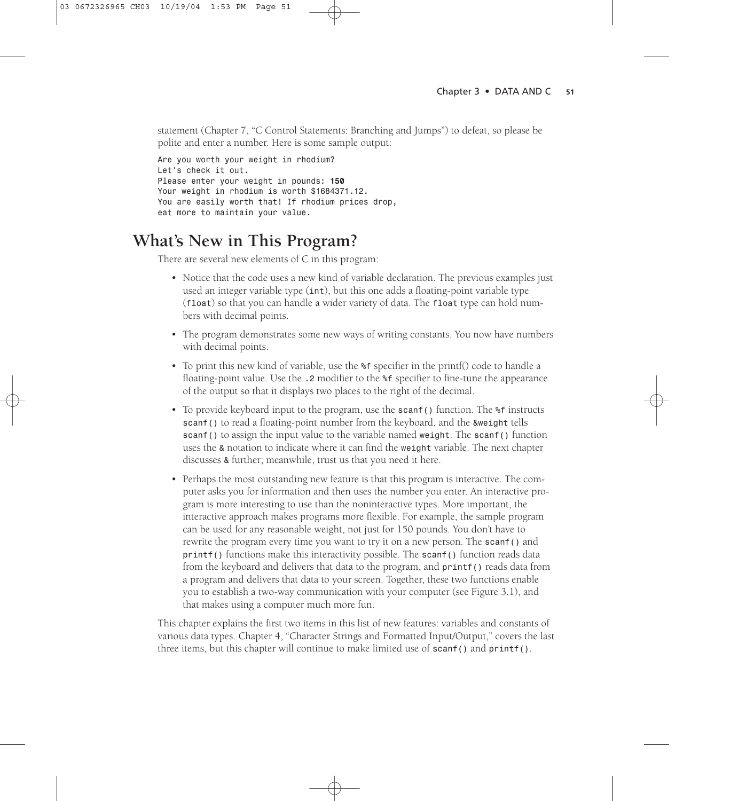statement (Chapter 7, "C Control Statements: Branching and Jumps") to defeat, so please be polite and enter a number. Here is some sample output:

```
Are you worth your weight in rhodium?
Let's check it out.
Please enter your weight in pounds: 150
Your weight in rhodium is worth $1684371.12.
You are easily worth that! If rhodium prices drop,
eat more to maintain your value.
```
## **What's New in This Program?**

There are several new elements of C in this program:

- Notice that the code uses a new kind of variable declaration. The previous examples just used an integer variable type (*int*), but this one adds a floating-point variable type (*float*) so that you can handle a wider variety of data. The *float* type can hold numbers with decimal points.
- The program demonstrates some new ways of writing constants. You now have numbers with decimal points.
- To print this new kind of variable, use the *%f* specifier in the printf() code to handle a floating-point value. Use the *.2* modifier to the *%f* specifier to fine-tune the appearance of the output so that it displays two places to the right of the decimal.
- To provide keyboard input to the program, use the *scanf()* function. The *%f* instructs *scanf()* to read a floating-point number from the keyboard, and the *&weight* tells *scanf()* to assign the input value to the variable named *weight*. The *scanf()* function uses the *&* notation to indicate where it can find the *weight* variable. The next chapter discusses *&* further; meanwhile, trust us that you need it here.
- Perhaps the most outstanding new feature is that this program is interactive. The computer asks you for information and then uses the number you enter. An interactive program is more interesting to use than the noninteractive types. More important, the interactive approach makes programs more flexible. For example, the sample program can be used for any reasonable weight, not just for 150 pounds. You don't have to rewrite the program every time you want to try it on a new person. The *scanf()* and *printf()* functions make this interactivity possible. The *scanf()* function reads data from the keyboard and delivers that data to the program, and *printf()* reads data from a program and delivers that data to your screen. Together, these two functions enable you to establish a two-way communication with your computer (see Figure 3.1), and that makes using a computer much more fun.

This chapter explains the first two items in this list of new features: variables and constants of various data types. Chapter 4, "Character Strings and Formatted Input/Output," covers the last three items, but this chapter will continue to make limited use of *scanf()* and *printf()*.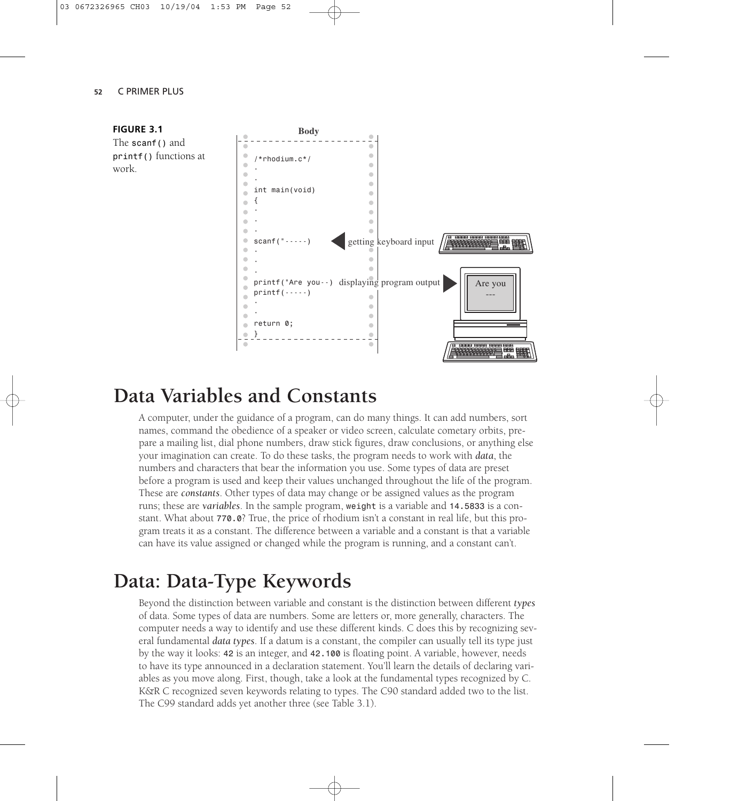

# **Data Variables and Constants**

A computer, under the guidance of a program, can do many things. It can add numbers, sort names, command the obedience of a speaker or video screen, calculate cometary orbits, prepare a mailing list, dial phone numbers, draw stick figures, draw conclusions, or anything else your imagination can create. To do these tasks, the program needs to work with *data*, the numbers and characters that bear the information you use. Some types of data are preset before a program is used and keep their values unchanged throughout the life of the program. These are *constants*. Other types of data may change or be assigned values as the program runs; these are *variables*. In the sample program, *weight* is a variable and *14.5833* is a constant. What about *770.0*? True, the price of rhodium isn't a constant in real life, but this program treats it as a constant. The difference between a variable and a constant is that a variable can have its value assigned or changed while the program is running, and a constant can't.

# **Data: Data-Type Keywords**

Beyond the distinction between variable and constant is the distinction between different *types* of data. Some types of data are numbers. Some are letters or, more generally, characters. The computer needs a way to identify and use these different kinds. C does this by recognizing several fundamental *data types*. If a datum is a constant, the compiler can usually tell its type just by the way it looks: *42* is an integer, and *42.100* is floating point. A variable, however, needs to have its type announced in a declaration statement. You'll learn the details of declaring variables as you move along. First, though, take a look at the fundamental types recognized by C. K&R C recognized seven keywords relating to types. The C90 standard added two to the list. The C99 standard adds yet another three (see Table 3.1).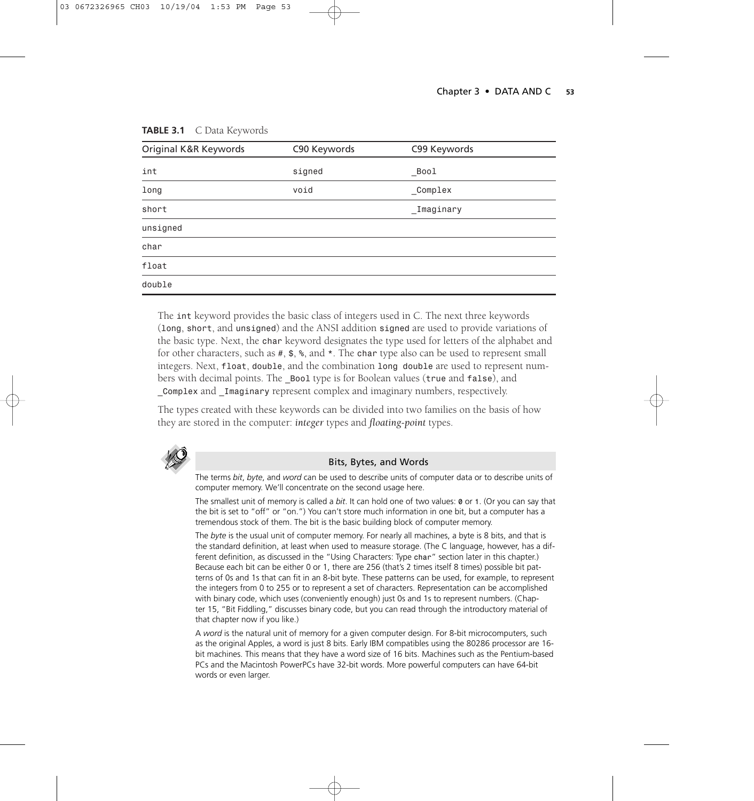| Original K&R Keywords | C90 Keywords | C99 Keywords |  |
|-----------------------|--------------|--------------|--|
| int                   | signed       | Bool         |  |
| long                  | void         | _Complex     |  |
| short                 |              | _Imaginary   |  |
| unsigned              |              |              |  |
| char                  |              |              |  |
| float                 |              |              |  |
| double                |              |              |  |

#### **TABLE 3.1** C Data Keywords

The *int* keyword provides the basic class of integers used in C. The next three keywords (*long*, *short*, and *unsigned*) and the ANSI addition *signed* are used to provide variations of the basic type. Next, the *char* keyword designates the type used for letters of the alphabet and for other characters, such as *#*, *\$*, *%*, and *\**. The *char* type also can be used to represent small integers. Next, *float*, *double*, and the combination *long double* are used to represent numbers with decimal points. The *\_Bool* type is for Boolean values (*true* and *false*), and *\_Complex* and *\_Imaginary* represent complex and imaginary numbers, respectively.

The types created with these keywords can be divided into two families on the basis of how they are stored in the computer: *integer* types and *floating-point* types.



#### Bits, Bytes, and Words

The terms *bit*, *byte*, and *word* can be used to describe units of computer data or to describe units of computer memory. We'll concentrate on the second usage here.

The smallest unit of memory is called a *bit*. It can hold one of two values: *0* or *1*. (Or you can say that the bit is set to "off" or "on.") You can't store much information in one bit, but a computer has a tremendous stock of them. The bit is the basic building block of computer memory.

The *byte* is the usual unit of computer memory. For nearly all machines, a byte is 8 bits, and that is the standard definition, at least when used to measure storage. (The C language, however, has a different definition, as discussed in the "Using Characters: Type *char*" section later in this chapter.) Because each bit can be either 0 or 1, there are 256 (that's 2 times itself 8 times) possible bit patterns of 0s and 1s that can fit in an 8-bit byte. These patterns can be used, for example, to represent the integers from 0 to 255 or to represent a set of characters. Representation can be accomplished with binary code, which uses (conveniently enough) just 0s and 1s to represent numbers. (Chapter 15, "Bit Fiddling," discusses binary code, but you can read through the introductory material of that chapter now if you like.)

A *word* is the natural unit of memory for a given computer design. For 8-bit microcomputers, such as the original Apples, a word is just 8 bits. Early IBM compatibles using the 80286 processor are 16 bit machines. This means that they have a word size of 16 bits. Machines such as the Pentium-based PCs and the Macintosh PowerPCs have 32-bit words. More powerful computers can have 64-bit words or even larger.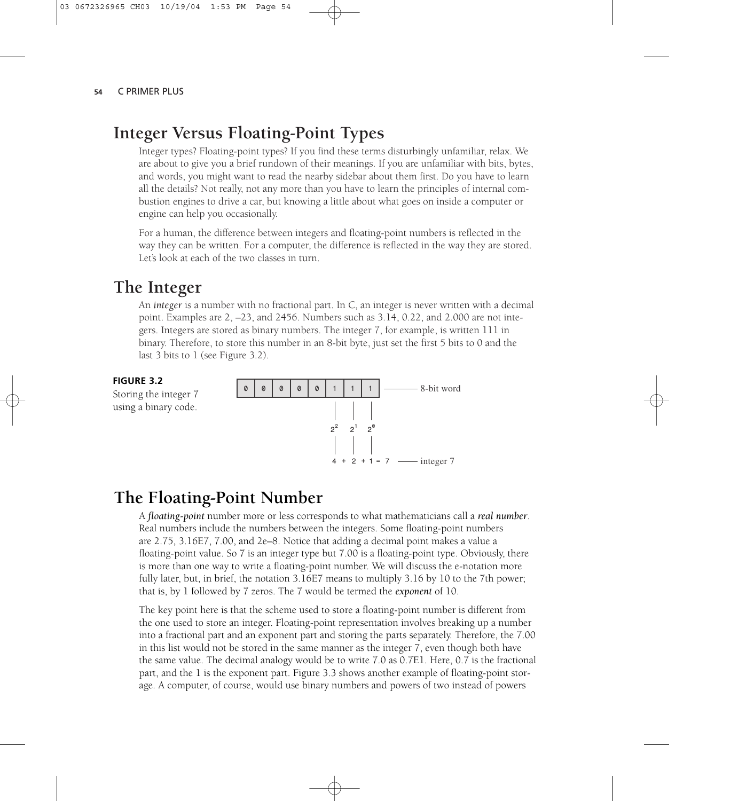## **Integer Versus Floating-Point Types**

Integer types? Floating-point types? If you find these terms disturbingly unfamiliar, relax. We are about to give you a brief rundown of their meanings. If you are unfamiliar with bits, bytes, and words, you might want to read the nearby sidebar about them first. Do you have to learn all the details? Not really, not any more than you have to learn the principles of internal combustion engines to drive a car, but knowing a little about what goes on inside a computer or engine can help you occasionally.

For a human, the difference between integers and floating-point numbers is reflected in the way they can be written. For a computer, the difference is reflected in the way they are stored. Let's look at each of the two classes in turn.

## **The Integer**

An *integer* is a number with no fractional part. In C, an integer is never written with a decimal point. Examples are 2, –23, and 2456. Numbers such as 3.14, 0.22, and 2.000 are not integers. Integers are stored as binary numbers. The integer 7, for example, is written 111 in binary. Therefore, to store this number in an 8-bit byte, just set the first 5 bits to 0 and the last 3 bits to 1 (see Figure 3.2).

### **FIGURE 3.2**

Storing the integer 7 using a binary code.



# **The Floating-Point Number**

A *floating-point* number more or less corresponds to what mathematicians call a *real number*. Real numbers include the numbers between the integers. Some floating-point numbers are 2.75, 3.16E7, 7.00, and 2e–8. Notice that adding a decimal point makes a value a floating-point value. So 7 is an integer type but 7.00 is a floating-point type. Obviously, there is more than one way to write a floating-point number. We will discuss the e-notation more fully later, but, in brief, the notation 3.16E7 means to multiply 3.16 by 10 to the 7th power; that is, by 1 followed by 7 zeros. The 7 would be termed the *exponent* of 10.

The key point here is that the scheme used to store a floating-point number is different from the one used to store an integer. Floating-point representation involves breaking up a number into a fractional part and an exponent part and storing the parts separately. Therefore, the 7.00 in this list would not be stored in the same manner as the integer 7, even though both have the same value. The decimal analogy would be to write 7.0 as 0.7E1. Here, 0.7 is the fractional part, and the 1 is the exponent part. Figure 3.3 shows another example of floating-point storage. A computer, of course, would use binary numbers and powers of two instead of powers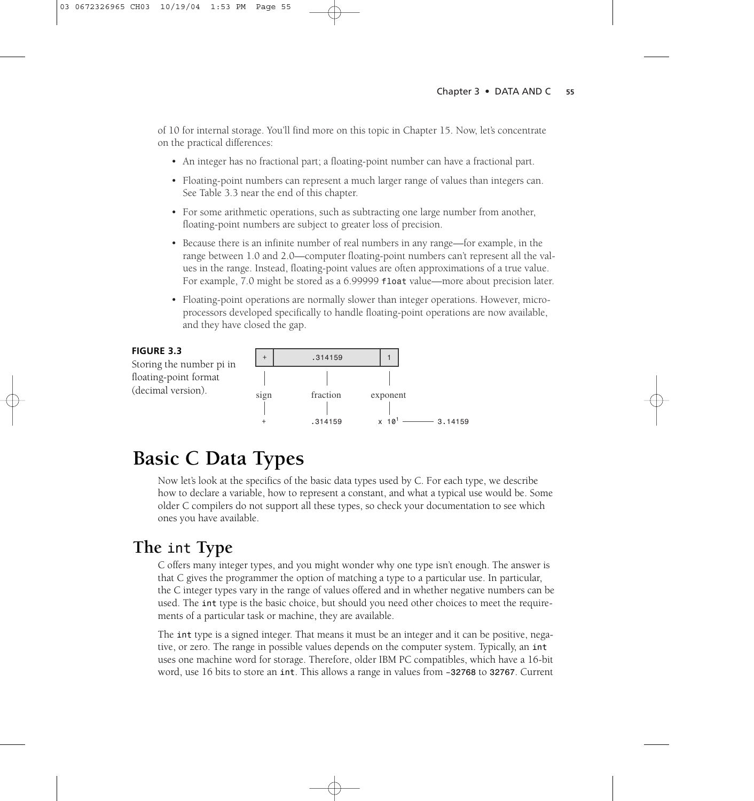of 10 for internal storage. You'll find more on this topic in Chapter 15. Now, let's concentrate on the practical differences:

- An integer has no fractional part; a floating-point number can have a fractional part.
- Floating-point numbers can represent a much larger range of values than integers can. See Table 3.3 near the end of this chapter.
- For some arithmetic operations, such as subtracting one large number from another, floating-point numbers are subject to greater loss of precision.
- Because there is an infinite number of real numbers in any range—for example, in the range between 1.0 and 2.0—computer floating-point numbers can't represent all the values in the range. Instead, floating-point values are often approximations of a true value. For example, 7.0 might be stored as a 6.99999 *float* value—more about precision later.
- Floating-point operations are normally slower than integer operations. However, microprocessors developed specifically to handle floating-point operations are now available, and they have closed the gap.

#### **FIGURE 3.3**

Storing the number pi in floating-point format (decimal version).



# **Basic C Data Types**

Now let's look at the specifics of the basic data types used by C. For each type, we describe how to declare a variable, how to represent a constant, and what a typical use would be. Some older C compilers do not support all these types, so check your documentation to see which ones you have available.

## **The** *int* **Type**

C offers many integer types, and you might wonder why one type isn't enough. The answer is that C gives the programmer the option of matching a type to a particular use. In particular, the C integer types vary in the range of values offered and in whether negative numbers can be used. The *int* type is the basic choice, but should you need other choices to meet the requirements of a particular task or machine, they are available.

The *int* type is a signed integer. That means it must be an integer and it can be positive, negative, or zero. The range in possible values depends on the computer system. Typically, an *int* uses one machine word for storage. Therefore, older IBM PC compatibles, which have a 16-bit word, use 16 bits to store an *int*. This allows a range in values from *–32768* to *32767*. Current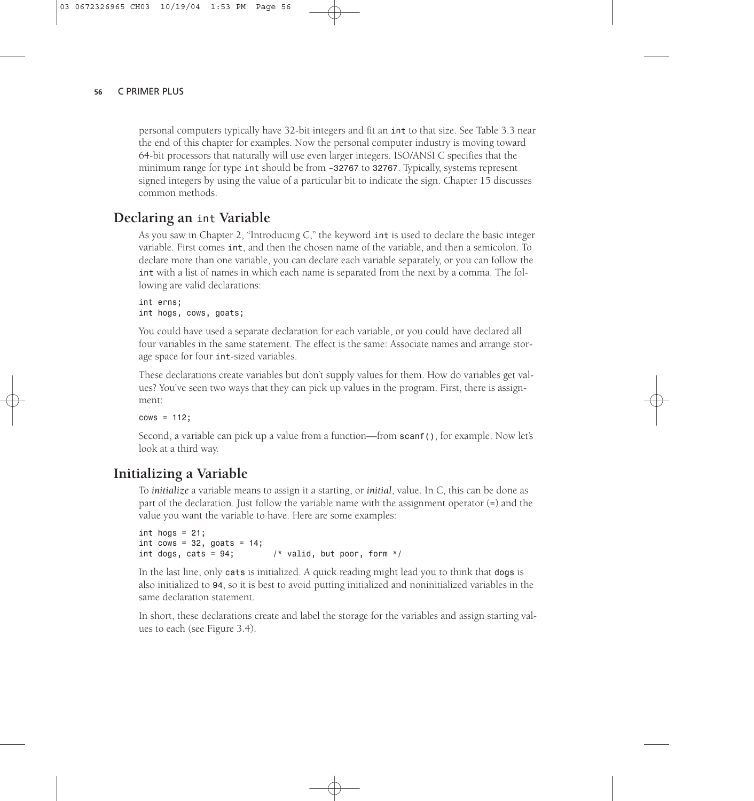personal computers typically have 32-bit integers and fit an *int* to that size. See Table 3.3 near the end of this chapter for examples. Now the personal computer industry is moving toward 64-bit processors that naturally will use even larger integers. ISO/ANSI C specifies that the minimum range for type *int* should be from *–32767* to *32767*. Typically, systems represent signed integers by using the value of a particular bit to indicate the sign. Chapter 15 discusses common methods.

### **Declaring an** *int* **Variable**

As you saw in Chapter 2, "Introducing C," the keyword *int* is used to declare the basic integer variable. First comes *int*, and then the chosen name of the variable, and then a semicolon. To declare more than one variable, you can declare each variable separately, or you can follow the *int* with a list of names in which each name is separated from the next by a comma. The following are valid declarations:

```
int erns;
int hogs, cows, goats;
```
You could have used a separate declaration for each variable, or you could have declared all four variables in the same statement. The effect is the same: Associate names and arrange storage space for four *int*-sized variables.

These declarations create variables but don't supply values for them. How do variables get values? You've seen two ways that they can pick up values in the program. First, there is assignment:

*cows = 112;*

Second, a variable can pick up a value from a function—from *scanf()*, for example. Now let's look at a third way.

### **Initializing a Variable**

To *initialize* a variable means to assign it a starting, or *initial*, value. In C, this can be done as part of the declaration. Just follow the variable name with the assignment operator (*=*) and the value you want the variable to have. Here are some examples:

```
int hogs = 21;
int cows = 32, goats = 14;
int dogs, cats = 94; /* valid, but poor, form */
```
In the last line, only *cats* is initialized. A quick reading might lead you to think that *dogs* is also initialized to *94*, so it is best to avoid putting initialized and noninitialized variables in the same declaration statement.

In short, these declarations create and label the storage for the variables and assign starting values to each (see Figure 3.4).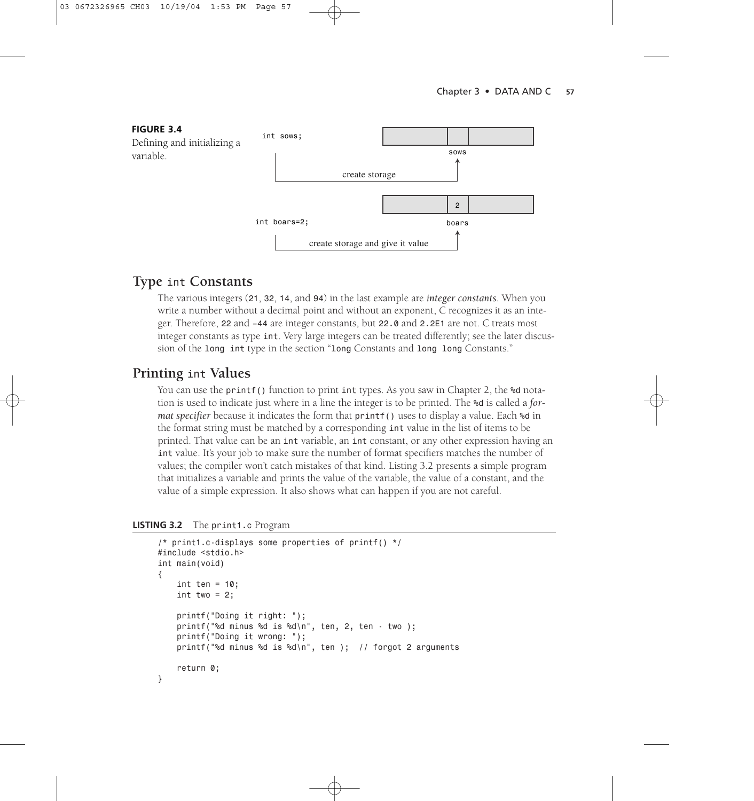

### **Type** *int* **Constants**

The various integers (*21*, *32*, *14*, and *94*) in the last example are *integer constants*. When you write a number without a decimal point and without an exponent, C recognizes it as an integer. Therefore, *22* and *–44* are integer constants, but *22.0* and *2.2E1* are not. C treats most integer constants as type *int*. Very large integers can be treated differently; see the later discussion of the *long int* type in the section "*long* Constants and *long long* Constants."

## **Printing** *int* **Values**

You can use the *printf()* function to print *int* types. As you saw in Chapter 2, the *%d* notation is used to indicate just where in a line the integer is to be printed. The *%d* is called a *format specifier* because it indicates the form that *printf()* uses to display a value. Each *%d* in the format string must be matched by a corresponding *int* value in the list of items to be printed. That value can be an *int* variable, an *int* constant, or any other expression having an *int* value. It's your job to make sure the number of format specifiers matches the number of values; the compiler won't catch mistakes of that kind. Listing 3.2 presents a simple program that initializes a variable and prints the value of the variable, the value of a constant, and the value of a simple expression. It also shows what can happen if you are not careful.

```
LISTING 3.2 The print1.c Program
```

```
/* print1.c-displays some properties of printf() */
#include <stdio.h>
int main(void)
{
    int ten = 10;
    int two = 2;
    printf("Doing it right: ");
    printf("%d minus %d is %d\n", ten, 2, ten - two );
    printf("Doing it wrong: ");
    printf("%d minus %d is %d\n", ten ); // forgot 2 arguments
    return 0;
}
```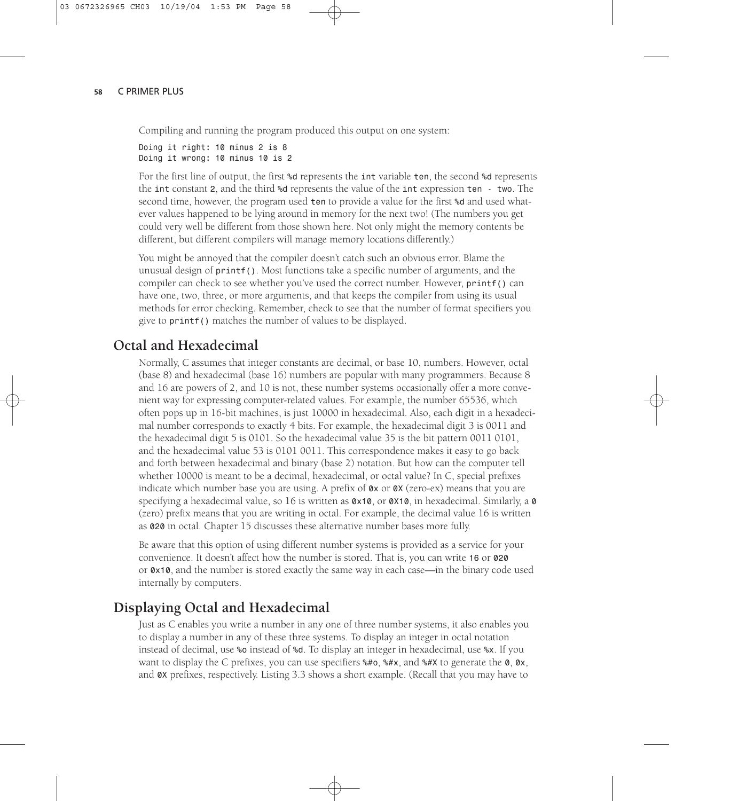Compiling and running the program produced this output on one system:

*Doing it right: 10 minus 2 is 8 Doing it wrong: 10 minus 10 is 2*

For the first line of output, the first *%d* represents the *int* variable *ten*, the second *%d* represents the *int* constant *2*, and the third *%d* represents the value of the *int* expression *ten - two*. The second time, however, the program used *ten* to provide a value for the first *%d* and used whatever values happened to be lying around in memory for the next two! (The numbers you get could very well be different from those shown here. Not only might the memory contents be different, but different compilers will manage memory locations differently.)

You might be annoyed that the compiler doesn't catch such an obvious error. Blame the unusual design of *printf()*. Most functions take a specific number of arguments, and the compiler can check to see whether you've used the correct number. However, *printf()* can have one, two, three, or more arguments, and that keeps the compiler from using its usual methods for error checking. Remember, check to see that the number of format specifiers you give to *printf()* matches the number of values to be displayed.

### **Octal and Hexadecimal**

Normally, C assumes that integer constants are decimal, or base 10, numbers. However, octal (base 8) and hexadecimal (base 16) numbers are popular with many programmers. Because 8 and 16 are powers of 2, and 10 is not, these number systems occasionally offer a more convenient way for expressing computer-related values. For example, the number 65536, which often pops up in 16-bit machines, is just 10000 in hexadecimal. Also, each digit in a hexadecimal number corresponds to exactly 4 bits. For example, the hexadecimal digit 3 is 0011 and the hexadecimal digit 5 is 0101. So the hexadecimal value 35 is the bit pattern 0011 0101, and the hexadecimal value 53 is 0101 0011. This correspondence makes it easy to go back and forth between hexadecimal and binary (base 2) notation. But how can the computer tell whether 10000 is meant to be a decimal, hexadecimal, or octal value? In C, special prefixes indicate which number base you are using. A prefix of *0x* or *0X* (zero-ex) means that you are specifying a hexadecimal value, so 16 is written as *0x10*, or *0X10*, in hexadecimal. Similarly, a *0* (zero) prefix means that you are writing in octal. For example, the decimal value 16 is written as *020* in octal. Chapter 15 discusses these alternative number bases more fully.

Be aware that this option of using different number systems is provided as a service for your convenience. It doesn't affect how the number is stored. That is, you can write *16* or *020* or *0x10*, and the number is stored exactly the same way in each case—in the binary code used internally by computers.

### **Displaying Octal and Hexadecimal**

Just as C enables you write a number in any one of three number systems, it also enables you to display a number in any of these three systems. To display an integer in octal notation instead of decimal, use *%o* instead of *%d*. To display an integer in hexadecimal, use *%x*. If you want to display the C prefixes, you can use specifiers *%#o*, *%#x*, and *%#X* to generate the *0*, *0x*, and *0X* prefixes, respectively. Listing 3.3 shows a short example. (Recall that you may have to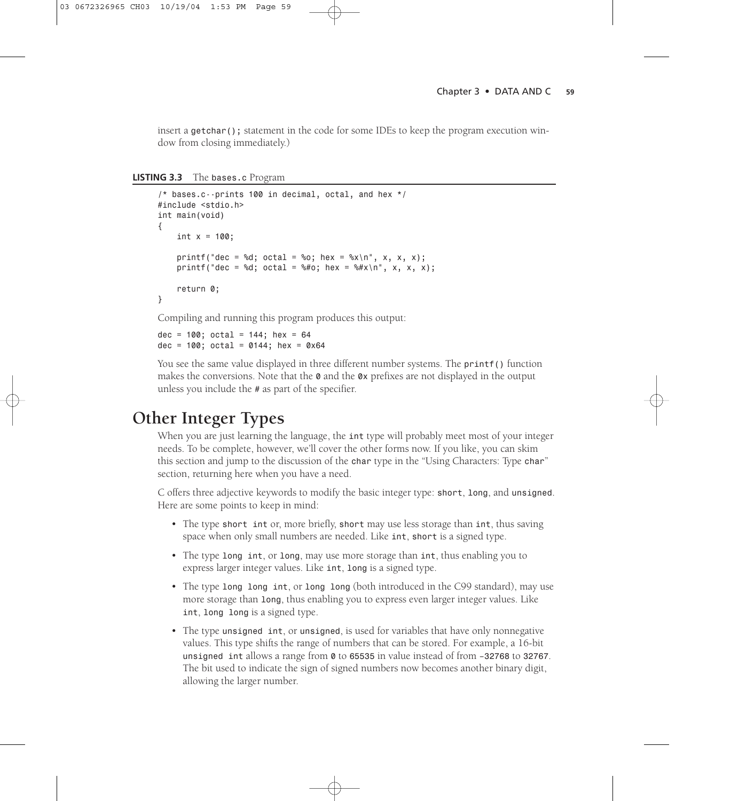insert a **getchar()**; statement in the code for some IDEs to keep the program execution window from closing immediately.)

#### **LISTING 3.3** The *bases.c* Program

```
/* bases.c--prints 100 in decimal, octal, and hex */
#include <stdio.h>
int main(void)
{
    int x = 100;
    printf("dec = %d; octal = %o; hex = %x\n", x, x, x);
    printf("dec = %d; octal = %#o; hex = %#x\n", x, x, x);
    return 0;
}
```
Compiling and running this program produces this output:

*dec = 100; octal = 144; hex = 64 dec = 100; octal = 0144; hex = 0x64*

You see the same value displayed in three different number systems. The *printf()* function makes the conversions. Note that the *0* and the *0x* prefixes are not displayed in the output unless you include the *#* as part of the specifier.

## **Other Integer Types**

When you are just learning the language, the *int* type will probably meet most of your integer needs. To be complete, however, we'll cover the other forms now. If you like, you can skim this section and jump to the discussion of the *char* type in the "Using Characters: Type *char*" section, returning here when you have a need.

C offers three adjective keywords to modify the basic integer type: *short*, *long*, and *unsigned*. Here are some points to keep in mind:

- The type *short int* or, more briefly, *short* may use less storage than *int*, thus saving space when only small numbers are needed. Like *int*, *short* is a signed type.
- The type *long int*, or *long*, may use more storage than *int*, thus enabling you to express larger integer values. Like *int*, *long* is a signed type.
- The type *long long int*, or *long long* (both introduced in the C99 standard), may use more storage than *long*, thus enabling you to express even larger integer values. Like *int*, *long long* is a signed type.
- The type *unsigned int*, or *unsigned*, is used for variables that have only nonnegative values. This type shifts the range of numbers that can be stored. For example, a 16-bit *unsigned int* allows a range from *0* to *65535* in value instead of from *–32768* to *32767*. The bit used to indicate the sign of signed numbers now becomes another binary digit, allowing the larger number.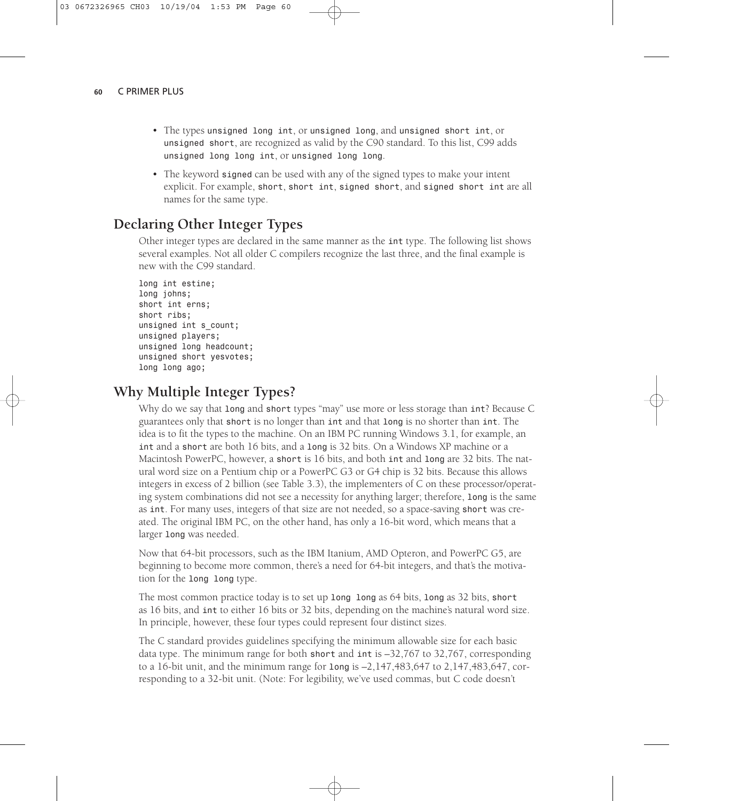- The types *unsigned long int*, or *unsigned long*, and *unsigned short int*, or *unsigned short*, are recognized as valid by the C90 standard. To this list, C99 adds *unsigned long long int*, or *unsigned long long*.
- The keyword *signed* can be used with any of the signed types to make your intent explicit. For example, *short*, *short int*, *signed short*, and *signed short int* are all names for the same type.

### **Declaring Other Integer Types**

Other integer types are declared in the same manner as the *int* type. The following list shows several examples. Not all older C compilers recognize the last three, and the final example is new with the C99 standard.

```
long int estine;
long johns;
short int erns;
short ribs;
unsigned int s_count;
unsigned players;
unsigned long headcount;
unsigned short yesvotes;
long long ago;
```
### **Why Multiple Integer Types?**

Why do we say that *long* and *short* types "may" use more or less storage than *int*? Because C guarantees only that *short* is no longer than *int* and that *long* is no shorter than *int*. The idea is to fit the types to the machine. On an IBM PC running Windows 3.1, for example, an *int* and a *short* are both 16 bits, and a *long* is 32 bits. On a Windows XP machine or a Macintosh PowerPC, however, a *short* is 16 bits, and both *int* and *long* are 32 bits. The natural word size on a Pentium chip or a PowerPC G3 or G4 chip is 32 bits. Because this allows integers in excess of 2 billion (see Table 3.3), the implementers of C on these processor/operating system combinations did not see a necessity for anything larger; therefore, *long* is the same as *int*. For many uses, integers of that size are not needed, so a space-saving *short* was created. The original IBM PC, on the other hand, has only a 16-bit word, which means that a larger *long* was needed.

Now that 64-bit processors, such as the IBM Itanium, AMD Opteron, and PowerPC G5, are beginning to become more common, there's a need for 64-bit integers, and that's the motivation for the *long long* type.

The most common practice today is to set up *long long* as 64 bits, *long* as 32 bits, *short* as 16 bits, and *int* to either 16 bits or 32 bits, depending on the machine's natural word size. In principle, however, these four types could represent four distinct sizes.

The C standard provides guidelines specifying the minimum allowable size for each basic data type. The minimum range for both *short* and *int* is –32,767 to 32,767, corresponding to a 16-bit unit, and the minimum range for *long* is –2,147,483,647 to 2,147,483,647, corresponding to a 32-bit unit. (Note: For legibility, we've used commas, but C code doesn't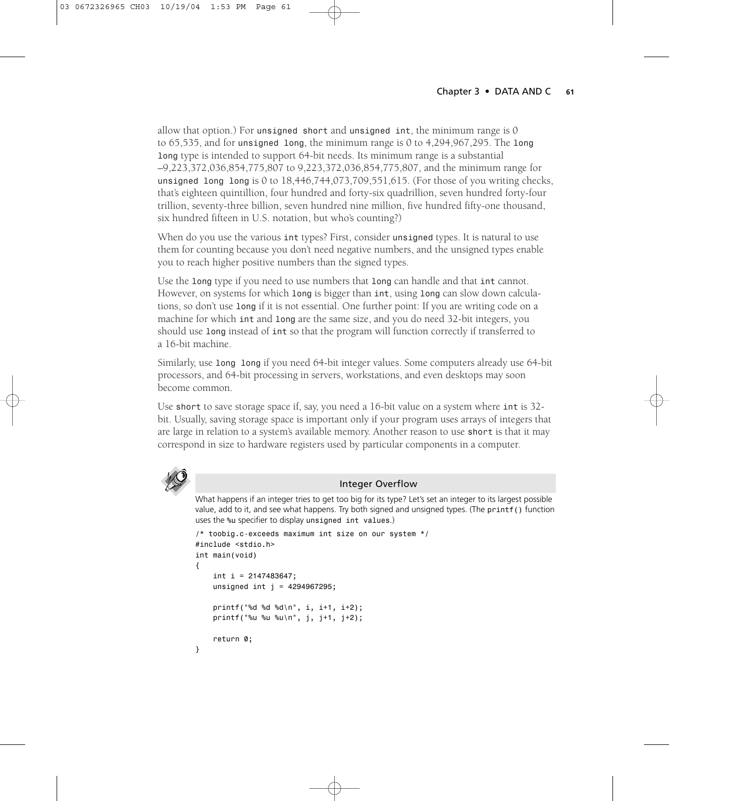allow that option.) For *unsigned short* and *unsigned int*, the minimum range is 0 to 65,535, and for *unsigned long*, the minimum range is 0 to 4,294,967,295. The *long long* type is intended to support 64-bit needs. Its minimum range is a substantial –9,223,372,036,854,775,807 to 9,223,372,036,854,775,807, and the minimum range for *unsigned long long* is 0 to 18,446,744,073,709,551,615. (For those of you writing checks, that's eighteen quintillion, four hundred and forty-six quadrillion, seven hundred forty-four trillion, seventy-three billion, seven hundred nine million, five hundred fifty-one thousand, six hundred fifteen in U.S. notation, but who's counting?)

When do you use the various *int* types? First, consider *unsigned* types. It is natural to use them for counting because you don't need negative numbers, and the unsigned types enable you to reach higher positive numbers than the signed types.

Use the *long* type if you need to use numbers that *long* can handle and that *int* cannot. However, on systems for which *long* is bigger than *int*, using *long* can slow down calculations, so don't use *long* if it is not essential. One further point: If you are writing code on a machine for which *int* and *long* are the same size, and you do need 32-bit integers, you should use *long* instead of *int* so that the program will function correctly if transferred to a 16-bit machine.

Similarly, use *long long* if you need 64-bit integer values. Some computers already use 64-bit processors, and 64-bit processing in servers, workstations, and even desktops may soon become common.

Use *short* to save storage space if, say, you need a 16-bit value on a system where *int* is 32 bit. Usually, saving storage space is important only if your program uses arrays of integers that are large in relation to a system's available memory. Another reason to use *short* is that it may correspond in size to hardware registers used by particular components in a computer.



#### Integer Overflow

What happens if an integer tries to get too big for its type? Let's set an integer to its largest possible value, add to it, and see what happens. Try both signed and unsigned types. (The *printf()* function uses the *%u* specifier to display *unsigned int values*.)

```
/* toobig.c-exceeds maximum int size on our system */
#include <stdio.h>
int main(void)
{
    int i = 2147483647;
    unsigned int j = 4294967295;
    printf("%d %d %d\n", i, i+1, i+2);
    printf("%u %u %u\n", j, j+1, j+2);
    return 0;
}
```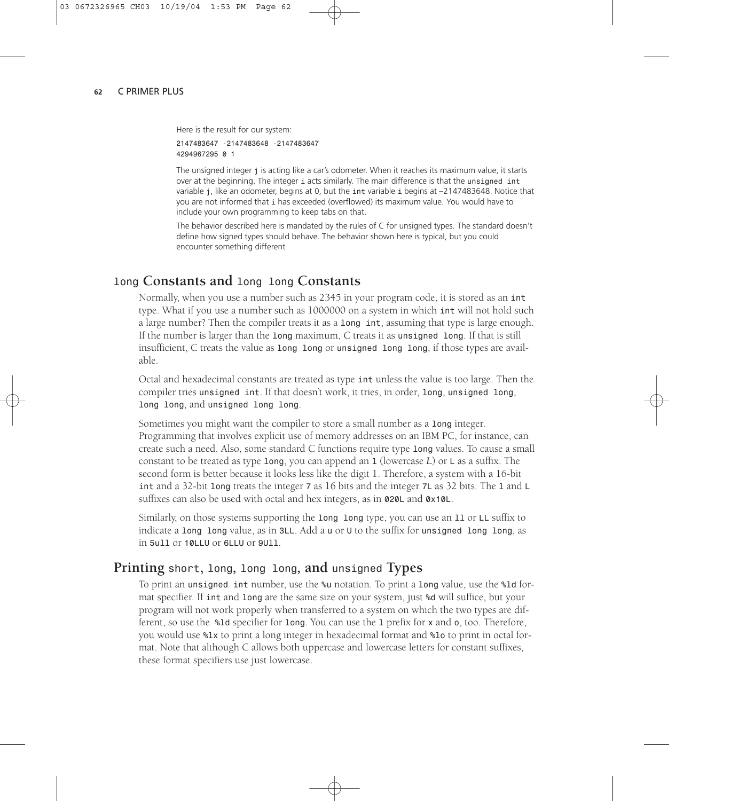Here is the result for our system:

*2147483647 -2147483648 -2147483647 4294967295 0 1*

The unsigned integer *j* is acting like a car's odometer. When it reaches its maximum value, it starts over at the beginning. The integer *i* acts similarly. The main difference is that the *unsigned int* variable *j*, like an odometer, begins at 0, but the *int* variable *i* begins at –2147483648. Notice that you are not informed that *i* has exceeded (overflowed) its maximum value. You would have to include your own programming to keep tabs on that.

The behavior described here is mandated by the rules of C for unsigned types. The standard doesn't define how signed types should behave. The behavior shown here is typical, but you could encounter something different

### *long* **Constants and** *long long* **Constants**

Normally, when you use a number such as 2345 in your program code, it is stored as an *int* type. What if you use a number such as 1000000 on a system in which *int* will not hold such a large number? Then the compiler treats it as a *long int*, assuming that type is large enough. If the number is larger than the *long* maximum, C treats it as *unsigned long*. If that is still insufficient, C treats the value as **long** long or **unsigned** long long, if those types are available.

Octal and hexadecimal constants are treated as type *int* unless the value is too large. Then the compiler tries *unsigned int*. If that doesn't work, it tries, in order, *long*, *unsigned long*, *long long*, and *unsigned long long*.

Sometimes you might want the compiler to store a small number as a *long* integer. Programming that involves explicit use of memory addresses on an IBM PC, for instance, can create such a need. Also, some standard C functions require type *long* values. To cause a small constant to be treated as type *long*, you can append an *l* (lowercase *L*) or *L* as a suffix. The second form is better because it looks less like the digit 1. Therefore, a system with a 16-bit *int* and a 32-bit *long* treats the integer *7* as 16 bits and the integer *7L* as 32 bits. The *l* and *L* suffixes can also be used with octal and hex integers, as in *020L* and *0x10L*.

Similarly, on those systems supporting the *long long* type, you can use an *ll* or *LL* suffix to indicate a *long long* value, as in *3LL*. Add a *u* or *U* to the suffix for *unsigned long long*, as in *5ull* or *10LLU* or *6LLU* or *9Ull*.

### **Printing** *short***,** *long, long long,* **and** *unsigned* **Types**

To print an *unsigned int* number, use the *%u* notation. To print a *long* value, use the *%ld* format specifier. If *int* and *long* are the same size on your system, just *%d* will suffice, but your program will not work properly when transferred to a system on which the two types are different, so use the *%ld* specifier for *long*. You can use the *l* prefix for *x* and *o*, too. Therefore, you would use *%lx* to print a long integer in hexadecimal format and *%lo* to print in octal format. Note that although C allows both uppercase and lowercase letters for constant suffixes, these format specifiers use just lowercase.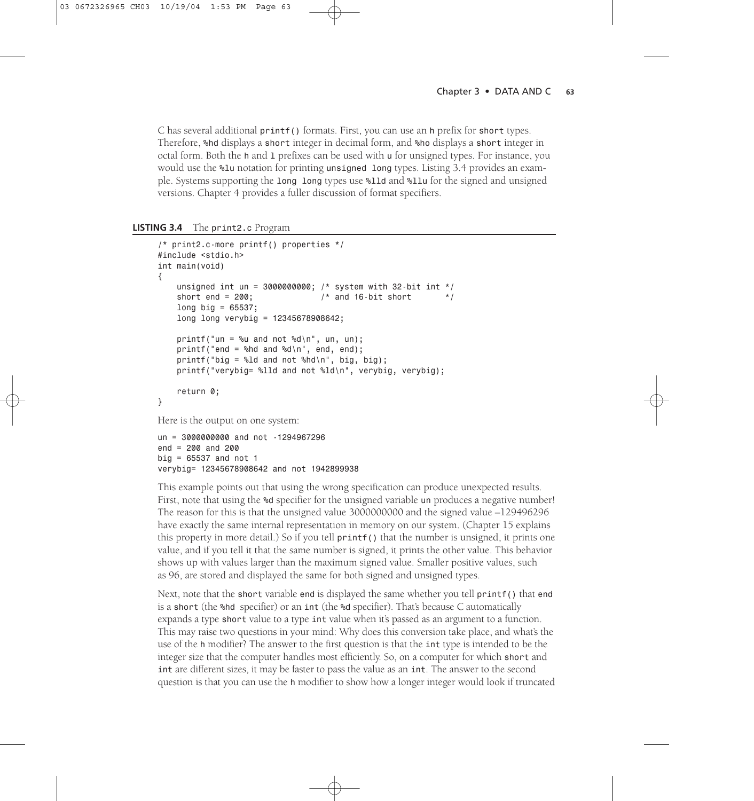C has several additional *printf()* formats. First, you can use an *h* prefix for *short* types. Therefore, *%hd* displays a *short* integer in decimal form, and *%ho* displays a *short* integer in octal form. Both the *h* and *l* prefixes can be used with *u* for unsigned types. For instance, you would use the *%lu* notation for printing *unsigned long* types. Listing 3.4 provides an example. Systems supporting the *long long* types use *%lld* and *%llu* for the signed and unsigned versions. Chapter 4 provides a fuller discussion of format specifiers.

```
LISTING 3.4 The print2.c Program
```

```
/* print2.c-more printf() properties */
#include <stdio.h>
int main(void)
{
    unsigned int un = 3000000000; /* system with 32-bit int */
    short end = 200; /* and 16-bit short */
    long big = 65537;
    long long verybig = 12345678908642;
    printf("un = %u and not %d\n", un, un);
    printf("end = %hd and %d\n", end, end);
    printf("big = %ld and not %hd\n", big, big);
    printf("verybig= %lld and not %ld\n", verybig, verybig);
    return 0;
}
```
Here is the output on one system:

*un = 3000000000 and not -1294967296 end = 200 and 200 big = 65537 and not 1 verybig= 12345678908642 and not 1942899938*

This example points out that using the wrong specification can produce unexpected results. First, note that using the *%d* specifier for the unsigned variable *un* produces a negative number! The reason for this is that the unsigned value 3000000000 and the signed value –129496296 have exactly the same internal representation in memory on our system. (Chapter 15 explains this property in more detail.) So if you tell *printf()* that the number is unsigned, it prints one value, and if you tell it that the same number is signed, it prints the other value. This behavior shows up with values larger than the maximum signed value. Smaller positive values, such as 96, are stored and displayed the same for both signed and unsigned types.

Next, note that the *short* variable *end* is displayed the same whether you tell *printf()* that *end* is a *short* (the *%hd* specifier) or an *int* (the *%d* specifier). That's because C automatically expands a type *short* value to a type *int* value when it's passed as an argument to a function. This may raise two questions in your mind: Why does this conversion take place, and what's the use of the *h* modifier? The answer to the first question is that the *int* type is intended to be the integer size that the computer handles most efficiently. So, on a computer for which *short* and *int* are different sizes, it may be faster to pass the value as an *int*. The answer to the second question is that you can use the *h* modifier to show how a longer integer would look if truncated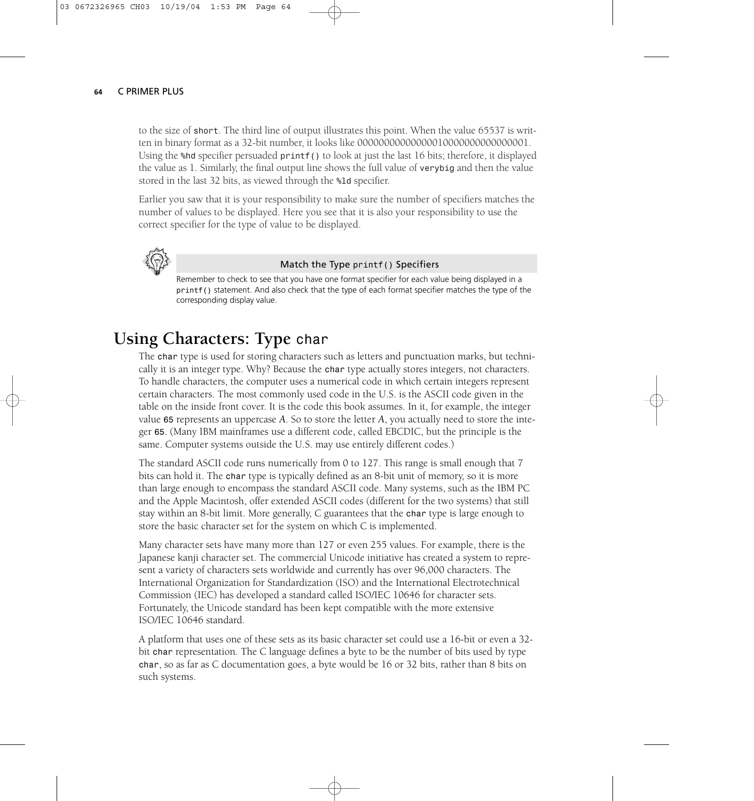to the size of *short*. The third line of output illustrates this point. When the value 65537 is written in binary format as a 32-bit number, it looks like 00000000000000010000000000000001. Using the *%hd* specifier persuaded *printf()* to look at just the last 16 bits; therefore, it displayed the value as 1. Similarly, the final output line shows the full value of *verybig* and then the value stored in the last 32 bits, as viewed through the *%ld* specifier.

Earlier you saw that it is your responsibility to make sure the number of specifiers matches the number of values to be displayed. Here you see that it is also your responsibility to use the correct specifier for the type of value to be displayed.



#### Match the Type *printf()* Specifiers

Remember to check to see that you have one format specifier for each value being displayed in a *printf()* statement. And also check that the type of each format specifier matches the type of the corresponding display value.

## **Using Characters: Type** *char*

The *char* type is used for storing characters such as letters and punctuation marks, but technically it is an integer type. Why? Because the *char* type actually stores integers, not characters. To handle characters, the computer uses a numerical code in which certain integers represent certain characters. The most commonly used code in the U.S. is the ASCII code given in the table on the inside front cover. It is the code this book assumes. In it, for example, the integer value *65* represents an uppercase *A*. So to store the letter *A*, you actually need to store the integer *65*. (Many IBM mainframes use a different code, called EBCDIC, but the principle is the same. Computer systems outside the U.S. may use entirely different codes.)

The standard ASCII code runs numerically from 0 to 127. This range is small enough that 7 bits can hold it. The *char* type is typically defined as an 8-bit unit of memory, so it is more than large enough to encompass the standard ASCII code. Many systems, such as the IBM PC and the Apple Macintosh, offer extended ASCII codes (different for the two systems) that still stay within an 8-bit limit. More generally, C guarantees that the *char* type is large enough to store the basic character set for the system on which C is implemented.

Many character sets have many more than 127 or even 255 values. For example, there is the Japanese kanji character set. The commercial Unicode initiative has created a system to represent a variety of characters sets worldwide and currently has over 96,000 characters. The International Organization for Standardization (ISO) and the International Electrotechnical Commission (IEC) has developed a standard called ISO/IEC 10646 for character sets. Fortunately, the Unicode standard has been kept compatible with the more extensive ISO/IEC 10646 standard.

A platform that uses one of these sets as its basic character set could use a 16-bit or even a 32 bit *char* representation. The C language defines a byte to be the number of bits used by type *char*, so as far as C documentation goes, a byte would be 16 or 32 bits, rather than 8 bits on such systems.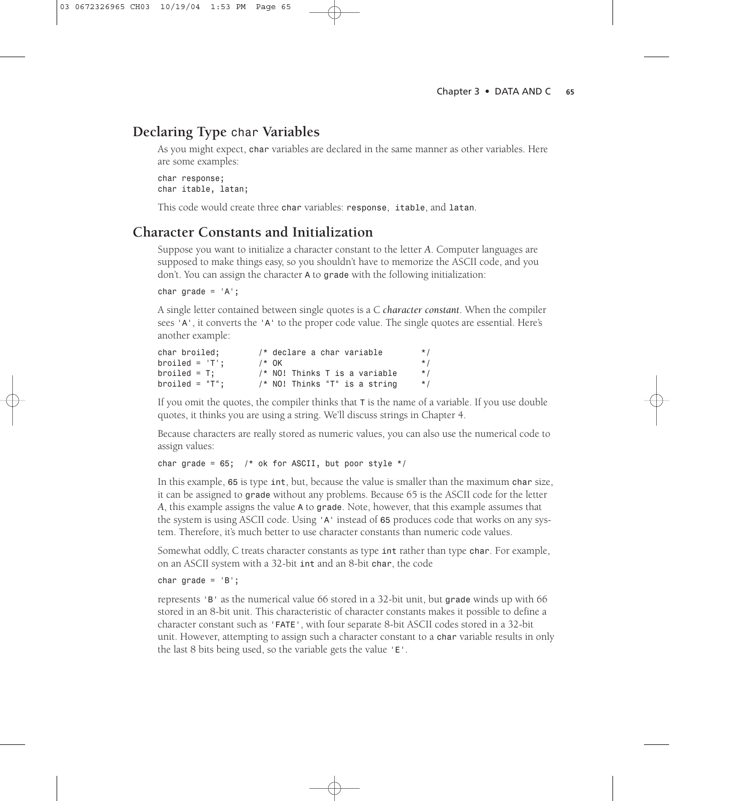## **Declaring Type** *char* **Variables**

As you might expect, *char* variables are declared in the same manner as other variables. Here are some examples:

*char response; char itable, latan;*

This code would create three *char* variables: *response*, *itable*, and *latan*.

### **Character Constants and Initialization**

Suppose you want to initialize a character constant to the letter *A*. Computer languages are supposed to make things easy, so you shouldn't have to memorize the ASCII code, and you don't. You can assign the character *A* to *grade* with the following initialization:

```
char grade = 'A';
```
A single letter contained between single quotes is a C *character constant*. When the compiler sees *'A'*, it converts the *'A'* to the proper code value. The single quotes are essential. Here's another example:

```
char broiled; /* declare a char variable */
broiled = 'T'; /* OK */
broiled = T; /* NO! Thinks T is a variable */
broiled = "T"; /* NO! Thinks "T" is a string */
```
If you omit the quotes, the compiler thinks that *T* is the name of a variable. If you use double quotes, it thinks you are using a string. We'll discuss strings in Chapter 4.

Because characters are really stored as numeric values, you can also use the numerical code to assign values:

```
char grade = 65; /* ok for ASCII, but poor style */
```
In this example, *65* is type *int*, but, because the value is smaller than the maximum *char* size, it can be assigned to *grade* without any problems. Because 65 is the ASCII code for the letter *A*, this example assigns the value *A* to *grade*. Note, however, that this example assumes that the system is using ASCII code. Using *'A'* instead of *65* produces code that works on any system. Therefore, it's much better to use character constants than numeric code values.

Somewhat oddly, C treats character constants as type *int* rather than type *char*. For example, on an ASCII system with a 32-bit *int* and an 8-bit *char*, the code

```
char grade = 'B';
```
represents *'B'* as the numerical value 66 stored in a 32-bit unit, but *grade* winds up with 66 stored in an 8-bit unit. This characteristic of character constants makes it possible to define a character constant such as *'FATE'*, with four separate 8-bit ASCII codes stored in a 32-bit unit. However, attempting to assign such a character constant to a *char* variable results in only the last 8 bits being used, so the variable gets the value *'E'*.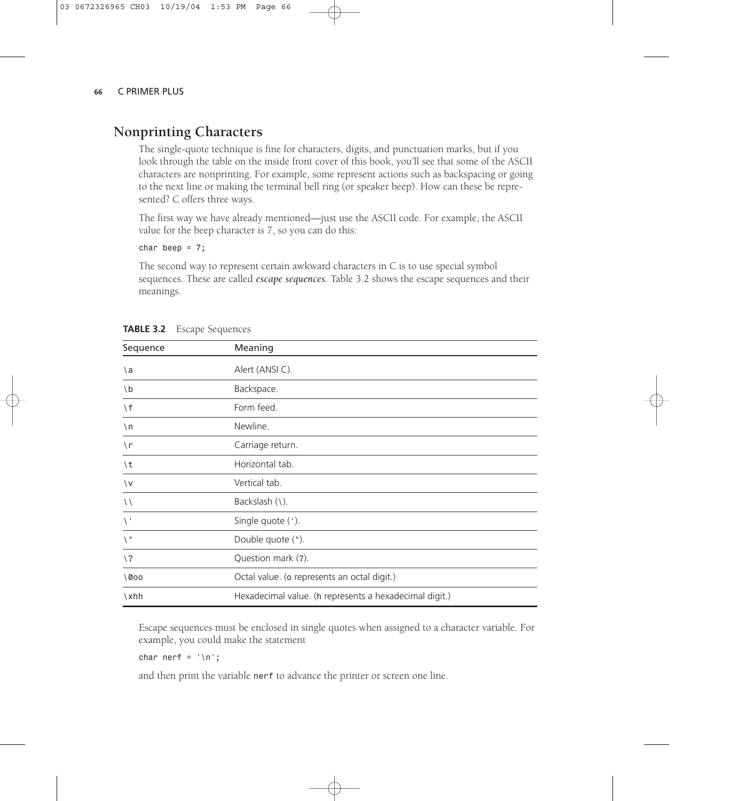### **Nonprinting Characters**

The single-quote technique is fine for characters, digits, and punctuation marks, but if you look through the table on the inside front cover of this book, you'll see that some of the ASCII characters are nonprinting. For example, some represent actions such as backspacing or going to the next line or making the terminal bell ring (or speaker beep). How can these be represented? C offers three ways.

The first way we have already mentioned—just use the ASCII code. For example, the ASCII value for the beep character is 7, so you can do this:

*char beep = 7;*

The second way to represent certain awkward characters in C is to use special symbol sequences. These are called *escape sequences*. Table 3.2 shows the escape sequences and their meanings.

| Sequence              | Meaning                                                |
|-----------------------|--------------------------------------------------------|
| $\setminus a$         | Alert (ANSI C).                                        |
| $\setminus b$         | Backspace.                                             |
| $\setminus f$         | Form feed.                                             |
| $\n\vee$ n            | Newline.                                               |
| $\ln$                 | Carriage return.                                       |
| \t                    | Horizontal tab.                                        |
| $\vee$                | Vertical tab.                                          |
| $\sqrt{}$             | Backslash (\).                                         |
| $\Delta$ <sup>1</sup> | Single quote (').                                      |
| $\setminus$ "         | Double quote (").                                      |
| $\langle$ ?           | Question mark (?).                                     |
| 000                   | Octal value. (o represents an octal digit.)            |
| xhh                   | Hexadecimal value. (h represents a hexadecimal digit.) |

#### **TABLE 3.2** Escape Sequences

Escape sequences must be enclosed in single quotes when assigned to a character variable. For example, you could make the statement

*char nerf = '\n';*

and then print the variable *nerf* to advance the printer or screen one line.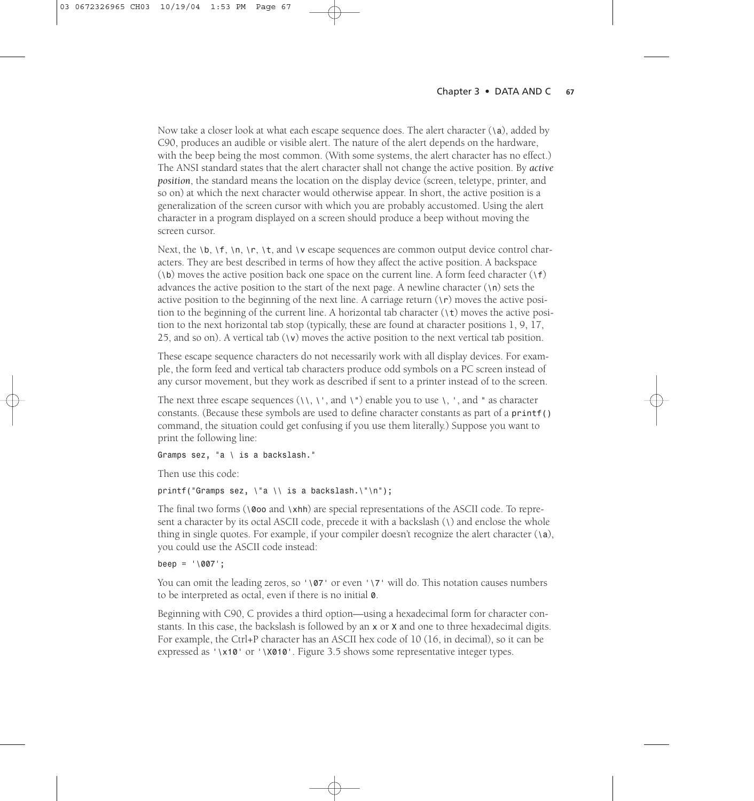Now take a closer look at what each escape sequence does. The alert character (*\a*), added by C90, produces an audible or visible alert. The nature of the alert depends on the hardware, with the beep being the most common. (With some systems, the alert character has no effect.) The ANSI standard states that the alert character shall not change the active position. By *active position*, the standard means the location on the display device (screen, teletype, printer, and so on) at which the next character would otherwise appear. In short, the active position is a generalization of the screen cursor with which you are probably accustomed. Using the alert character in a program displayed on a screen should produce a beep without moving the screen cursor.

Next, the *\b*, *\f*, *\n*, *\r*, *\t*, and *\v* escape sequences are common output device control characters. They are best described in terms of how they affect the active position. A backspace  $(\b)$  moves the active position back one space on the current line. A form feed character  $(\dagger)$ advances the active position to the start of the next page. A newline character (*\n*) sets the active position to the beginning of the next line. A carriage return (*\r*) moves the active position to the beginning of the current line. A horizontal tab character (*\t*) moves the active position to the next horizontal tab stop (typically, these are found at character positions 1, 9, 17, 25, and so on). A vertical tab (*\v*) moves the active position to the next vertical tab position.

These escape sequence characters do not necessarily work with all display devices. For example, the form feed and vertical tab characters produce odd symbols on a PC screen instead of any cursor movement, but they work as described if sent to a printer instead of to the screen.

The next three escape sequences (*\\*, *\'*, and *\"*) enable you to use *\*, *'*, and *"* as character constants. (Because these symbols are used to define character constants as part of a *printf()* command, the situation could get confusing if you use them literally.) Suppose you want to print the following line:

*Gramps sez, "a \ is a backslash."*

Then use this code:

*printf("Gramps sez, \"a \\ is a backslash.\"\n");*

The final two forms (*\0oo* and *\xhh*) are special representations of the ASCII code. To represent a character by its octal ASCII code, precede it with a backslash (*\*) and enclose the whole thing in single quotes. For example, if your compiler doesn't recognize the alert character (*\a*), you could use the ASCII code instead:

*beep = '\007';*

You can omit the leading zeros, so '\07' or even '\7' will do. This notation causes numbers to be interpreted as octal, even if there is no initial *0*.

Beginning with C90, C provides a third option—using a hexadecimal form for character constants. In this case, the backslash is followed by an *x* or *X* and one to three hexadecimal digits. For example, the Ctrl+P character has an ASCII hex code of 10 (16, in decimal), so it can be expressed as *'\x10'* or *'\X010'*. Figure 3.5 shows some representative integer types.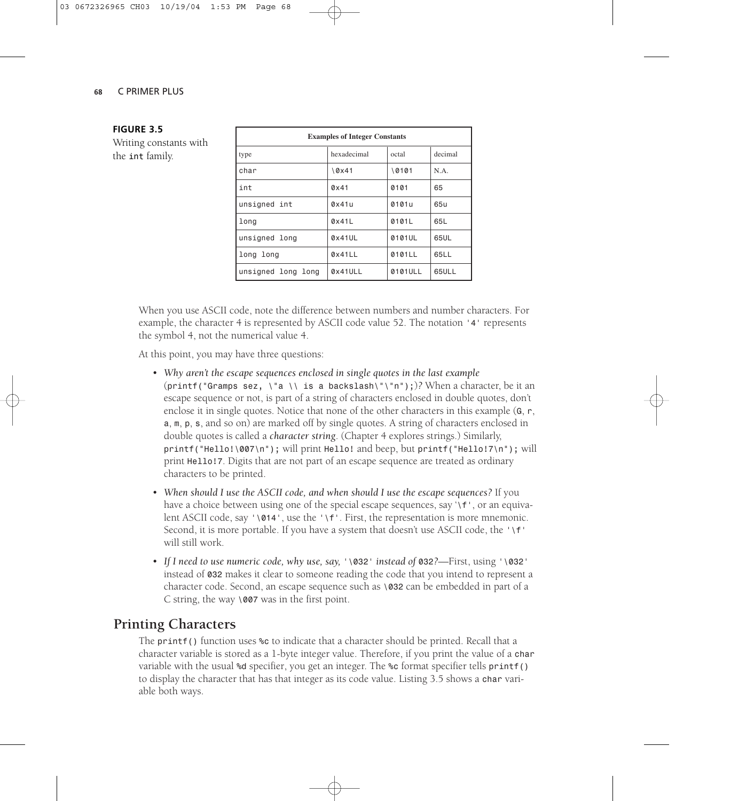| <b>FIGURE 3.5</b><br>Writing constants with | <b>Examples of Integer Constants</b> |             |         |         |  |
|---------------------------------------------|--------------------------------------|-------------|---------|---------|--|
| the int family.                             | type                                 | hexadecimal | octal   | decimal |  |
|                                             | char                                 | \0x41       | 0101    | N.A.    |  |
|                                             | int                                  | 0x41        | 0101    | 65      |  |
|                                             | unsigned int                         | 0x41u       | 0101u   | 65u     |  |
|                                             | long                                 | 0x41L       | 0101L   | 65L     |  |
|                                             | unsigned long                        | 0x41UL      | 0101UL  | 65UL    |  |
|                                             | long long                            | 0x41LL      | 0101LL  | 65LL    |  |
|                                             | unsigned long long                   | 0x41ULL     | 0101ULL | 65ULL   |  |
|                                             |                                      |             |         |         |  |

When you use ASCII code, note the difference between numbers and number characters. For example, the character 4 is represented by ASCII code value 52. The notation *'4'* represents the symbol 4, not the numerical value 4.

At this point, you may have three questions:

- *Why aren't the escape sequences enclosed in single quotes in the last example* (*printf("Gramps sez, \"a \\ is a backslash\"\"n");*)*?* When a character, be it an escape sequence or not, is part of a string of characters enclosed in double quotes, don't enclose it in single quotes. Notice that none of the other characters in this example (*G*, *r*, *a*, *m*, *p*, *s*, and so on) are marked off by single quotes. A string of characters enclosed in double quotes is called a *character string*. (Chapter 4 explores strings.) Similarly, *printf("Hello!\007\n");* will print *Hello!* and beep, but *printf("Hello!7\n");* will print *Hello!7*. Digits that are not part of an escape sequence are treated as ordinary characters to be printed.
- *When should I use the ASCII code, and when should I use the escape sequences?* If you have a choice between using one of the special escape sequences, say '*\f'*, or an equivalent ASCII code, say *'\014'*, use the *'\f'*. First, the representation is more mnemonic. Second, it is more portable. If you have a system that doesn't use ASCII code, the *'\f'* will still work.
- *If I need to use numeric code, why use, say, '\032' instead of 032?*—First, using *'\032'* instead of *032* makes it clear to someone reading the code that you intend to represent a character code. Second, an escape sequence such as *\032* can be embedded in part of a C string, the way *\007* was in the first point.

## **Printing Characters**

The *printf()* function uses *%c* to indicate that a character should be printed. Recall that a character variable is stored as a 1-byte integer value. Therefore, if you print the value of a *char* variable with the usual *%d* specifier, you get an integer. The *%c* format specifier tells *printf()* to display the character that has that integer as its code value. Listing 3.5 shows a *char* variable both ways.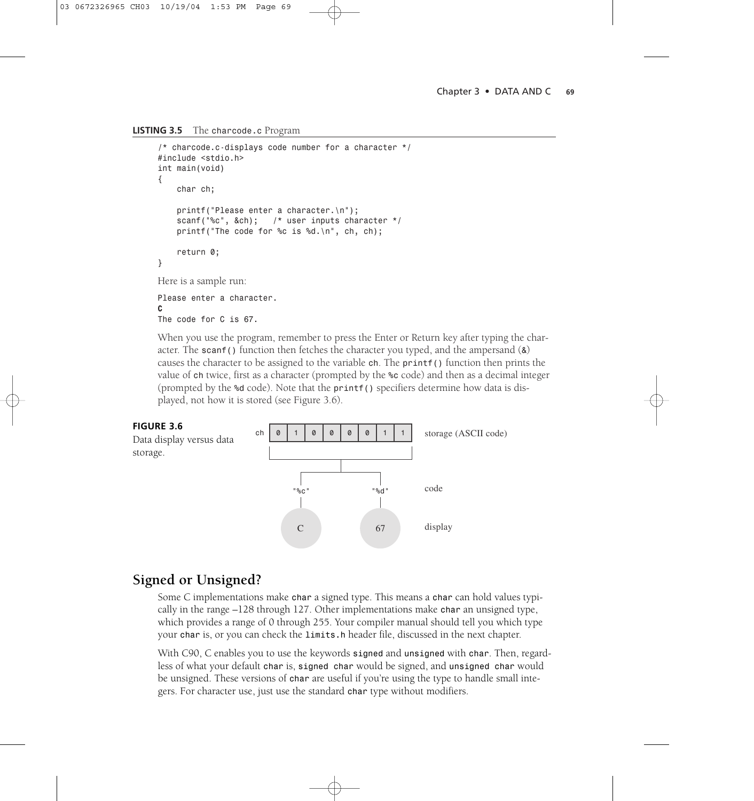```
LISTING 3.5 The charcode.c Program
```

```
/* charcode.c-displays code number for a character */
#include <stdio.h>
int main(void)
{
    char ch;
    printf("Please enter a character.\n");
    scanf("%c", &ch); /* user inputs character */
    printf("The code for %c is %d.\n", ch, ch);
    return 0;
}
Here is a sample run:
Please enter a character.
C
The code for C is 67.
```
When you use the program, remember to press the Enter or Return key after typing the character. The *scanf()* function then fetches the character you typed, and the ampersand (*&*) causes the character to be assigned to the variable *ch*. The *printf()* function then prints the value of *ch* twice, first as a character (prompted by the *%c* code) and then as a decimal integer (prompted by the *%d* code). Note that the *printf()* specifiers determine how data is displayed, not how it is stored (see Figure 3.6).



### **Signed or Unsigned?**

Some C implementations make *char* a signed type. This means a *char* can hold values typically in the range –128 through 127. Other implementations make *char* an unsigned type, which provides a range of 0 through 255. Your compiler manual should tell you which type your *char* is, or you can check the *limits.h* header file, discussed in the next chapter.

With C90, C enables you to use the keywords *signed* and *unsigned* with *char*. Then, regardless of what your default *char* is, *signed char* would be signed, and *unsigned char* would be unsigned. These versions of *char* are useful if you're using the type to handle small integers. For character use, just use the standard *char* type without modifiers.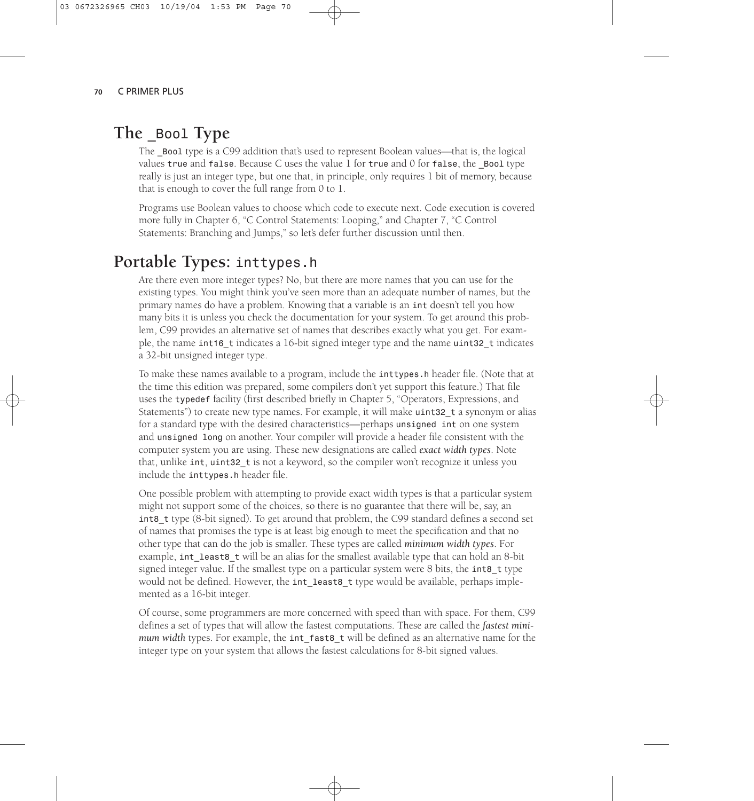## **The** *\_Bool* **Type**

The *\_Bool* type is a C99 addition that's used to represent Boolean values—that is, the logical values *true* and *false*. Because C uses the value 1 for *true* and 0 for *false*, the *\_Bool* type really is just an integer type, but one that, in principle, only requires 1 bit of memory, because that is enough to cover the full range from 0 to 1.

Programs use Boolean values to choose which code to execute next. Code execution is covered more fully in Chapter 6, "C Control Statements: Looping," and Chapter 7, "C Control Statements: Branching and Jumps," so let's defer further discussion until then.

## **Portable Types:** *inttypes.h*

Are there even more integer types? No, but there are more names that you can use for the existing types. You might think you've seen more than an adequate number of names, but the primary names do have a problem. Knowing that a variable is an *int* doesn't tell you how many bits it is unless you check the documentation for your system. To get around this problem, C99 provides an alternative set of names that describes exactly what you get. For example, the name *int16\_t* indicates a 16-bit signed integer type and the name *uint32\_t* indicates a 32-bit unsigned integer type.

To make these names available to a program, include the *inttypes.h* header file. (Note that at the time this edition was prepared, some compilers don't yet support this feature.) That file uses the *typedef* facility (first described briefly in Chapter 5, "Operators, Expressions, and Statements") to create new type names. For example, it will make *uint32\_t* a synonym or alias for a standard type with the desired characteristics—perhaps *unsigned int* on one system and *unsigned long* on another. Your compiler will provide a header file consistent with the computer system you are using. These new designations are called *exact width types*. Note that, unlike *int*, *uint32\_t* is not a keyword, so the compiler won't recognize it unless you include the *inttypes.h* header file.

One possible problem with attempting to provide exact width types is that a particular system might not support some of the choices, so there is no guarantee that there will be, say, an *int8\_t* type (8-bit signed). To get around that problem, the C99 standard defines a second set of names that promises the type is at least big enough to meet the specification and that no other type that can do the job is smaller. These types are called *minimum width types*. For example, *int\_least8\_t* will be an alias for the smallest available type that can hold an 8-bit signed integer value. If the smallest type on a particular system were 8 bits, the *int8\_t* type would not be defined. However, the *int\_least8\_t* type would be available, perhaps implemented as a 16-bit integer.

Of course, some programmers are more concerned with speed than with space. For them, C99 defines a set of types that will allow the fastest computations. These are called the *fastest minimum width* types. For example, the *int\_fast8\_t* will be defined as an alternative name for the integer type on your system that allows the fastest calculations for 8-bit signed values.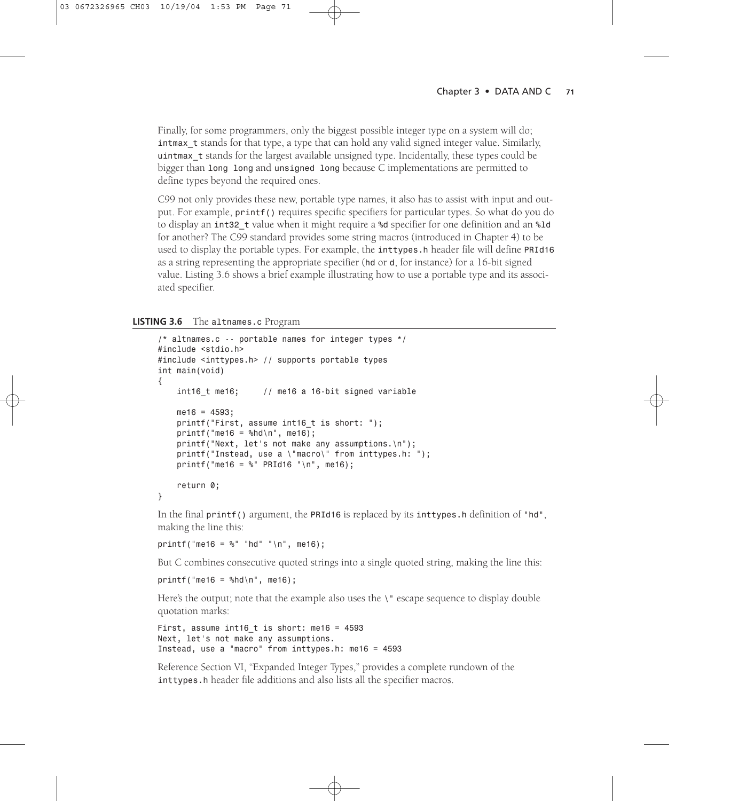Finally, for some programmers, only the biggest possible integer type on a system will do; *intmax\_t* stands for that type, a type that can hold any valid signed integer value. Similarly, *uintmax\_t* stands for the largest available unsigned type. Incidentally, these types could be bigger than *long long* and *unsigned long* because C implementations are permitted to define types beyond the required ones.

C99 not only provides these new, portable type names, it also has to assist with input and output. For example, *printf()* requires specific specifiers for particular types. So what do you do to display an *int32\_t* value when it might require a *%d* specifier for one definition and an *%ld* for another? The C99 standard provides some string macros (introduced in Chapter 4) to be used to display the portable types. For example, the *inttypes.h* header file will define *PRId16* as a string representing the appropriate specifier (*hd* or *d*, for instance) for a 16-bit signed value. Listing 3.6 shows a brief example illustrating how to use a portable type and its associated specifier.

```
LISTING 3.6 The altnames.c Program
```

```
/* altnames.c -- portable names for integer types */
#include <stdio.h>
#include <inttypes.h> // supports portable types
int main(void)
{
   int16_t me16; // me16 a 16-bit signed variable
   me16 = 4593;
   printf("First, assume int16_t is short: ");
    printf("me16 = %hd\n", me16);
    printf("Next, let's not make any assumptions.\n");
   printf("Instead, use a \"macro\" from inttypes.h: ");
   printf("me16 = %" PRId16 "\n", me16);
   return 0;
}
```
In the final *printf()* argument, the *PRId16* is replaced by its *inttypes.h* definition of *"hd"*, making the line this:

*printf("me16 = %" "hd" "\n", me16);*

But C combines consecutive quoted strings into a single quoted string, making the line this:

*printf("me16 = %hd\n", me16);*

Here's the output; note that the example also uses the  $\iota$ " escape sequence to display double quotation marks:

```
First, assume int16_t is short: me16 = 4593
Next, let's not make any assumptions.
Instead, use a "macro" from inttypes.h: me16 = 4593
```
Reference Section VI, "Expanded Integer Types," provides a complete rundown of the *inttypes.h* header file additions and also lists all the specifier macros.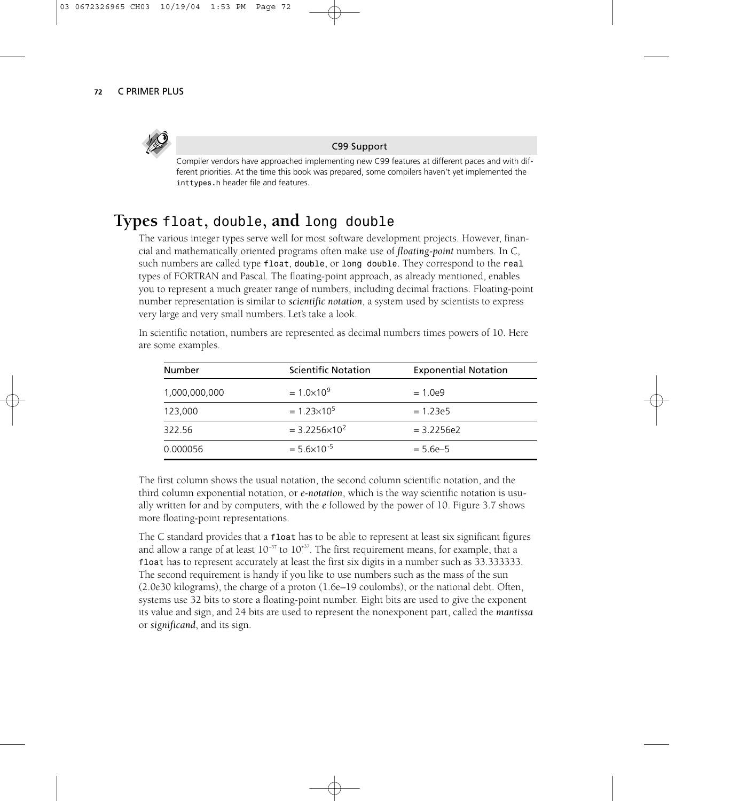

#### C99 Support

Compiler vendors have approached implementing new C99 features at different paces and with different priorities. At the time this book was prepared, some compilers haven't yet implemented the *inttypes.h* header file and features.

## **Types** *float***,** *double***, and** *long double*

The various integer types serve well for most software development projects. However, financial and mathematically oriented programs often make use of *floating-point* numbers. In C, such numbers are called type *float*, *double*, or *long double*. They correspond to the *real* types of FORTRAN and Pascal. The floating-point approach, as already mentioned, enables you to represent a much greater range of numbers, including decimal fractions. Floating-point number representation is similar to *scientific notation*, a system used by scientists to express very large and very small numbers. Let's take a look.

In scientific notation, numbers are represented as decimal numbers times powers of 10. Here are some examples.

| <b>Number</b> | <b>Scientific Notation</b> | <b>Exponential Notation</b> |
|---------------|----------------------------|-----------------------------|
| 1,000,000,000 | $= 1.0 \times 10^{9}$      | $= 1.0e9$                   |
| 123,000       | $= 1.23 \times 10^5$       | $= 1.23e5$                  |
| 322.56        | $= 3.2256 \times 10^{2}$   | $= 3.2256e2$                |
| 0.000056      | $= 5.6 \times 10^{-5}$     | $= 5.6e-5$                  |

The first column shows the usual notation, the second column scientific notation, and the third column exponential notation, or *e-notation*, which is the way scientific notation is usually written for and by computers, with the *e* followed by the power of 10. Figure 3.7 shows more floating-point representations.

The C standard provides that a *float* has to be able to represent at least six significant figures and allow a range of at least  $10^{-37}$  to  $10^{437}$ . The first requirement means, for example, that a *float* has to represent accurately at least the first six digits in a number such as 33.333333. The second requirement is handy if you like to use numbers such as the mass of the sun (2.0e30 kilograms), the charge of a proton (1.6e–19 coulombs), or the national debt. Often, systems use 32 bits to store a floating-point number. Eight bits are used to give the exponent its value and sign, and 24 bits are used to represent the nonexponent part, called the *mantissa* or *significand*, and its sign.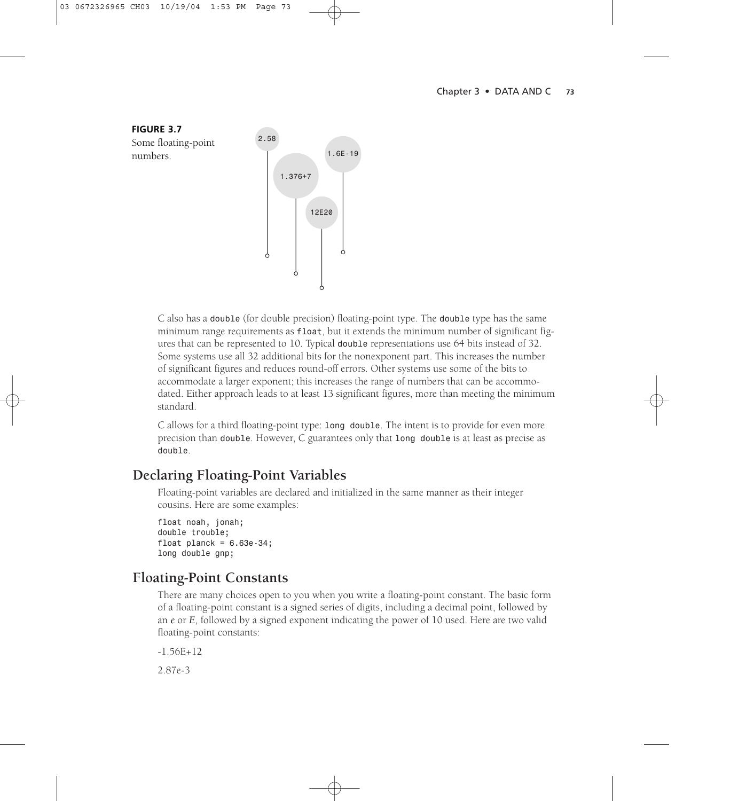

C also has a *double* (for double precision) floating-point type. The *double* type has the same minimum range requirements as *float*, but it extends the minimum number of significant figures that can be represented to 10. Typical *double* representations use 64 bits instead of 32. Some systems use all 32 additional bits for the nonexponent part. This increases the number of significant figures and reduces round-off errors. Other systems use some of the bits to accommodate a larger exponent; this increases the range of numbers that can be accommodated. Either approach leads to at least 13 significant figures, more than meeting the minimum standard.

C allows for a third floating-point type: *long double*. The intent is to provide for even more precision than *double*. However, C guarantees only that *long double* is at least as precise as *double*.

## **Declaring Floating-Point Variables**

Floating-point variables are declared and initialized in the same manner as their integer cousins. Here are some examples:

```
float noah, jonah;
double trouble;
float planck = 6.63e-34;
long double gnp;
```
## **Floating-Point Constants**

There are many choices open to you when you write a floating-point constant. The basic form of a floating-point constant is a signed series of digits, including a decimal point, followed by an *e* or *E*, followed by a signed exponent indicating the power of 10 used. Here are two valid floating-point constants:

-1.56E+12

2.87e-3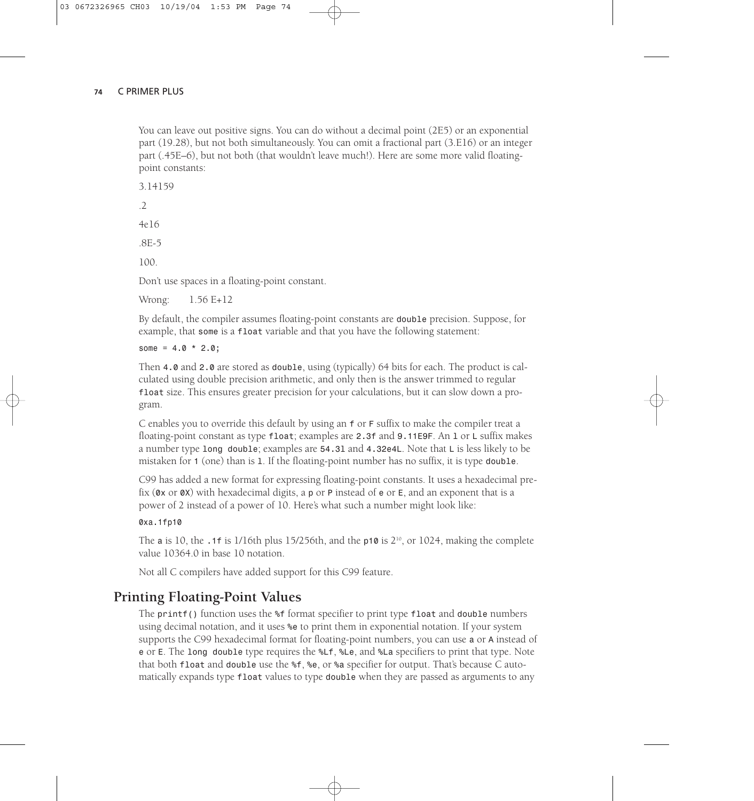You can leave out positive signs. You can do without a decimal point (2E5) or an exponential part (19.28), but not both simultaneously. You can omit a fractional part (3.E16) or an integer part (.45E–6), but not both (that wouldn't leave much!). Here are some more valid floatingpoint constants:

3.14159 .2 4e16 .8E-5 100. Don't use spaces in a floating-point constant.

Wrong: 1.56 E+12

By default, the compiler assumes floating-point constants are *double* precision. Suppose, for example, that *some* is a *float* variable and that you have the following statement:

*some = 4.0 \* 2.0;*

Then *4.0* and *2.0* are stored as *double*, using (typically) 64 bits for each. The product is calculated using double precision arithmetic, and only then is the answer trimmed to regular *float* size. This ensures greater precision for your calculations, but it can slow down a program.

C enables you to override this default by using an *f* or *F* suffix to make the compiler treat a floating-point constant as type *float*; examples are *2.3f* and *9.11E9F*. An *l* or *L* suffix makes a number type *long double*; examples are *54.3l* and *4.32e4L*. Note that *L* is less likely to be mistaken for *1* (one) than is *l*. If the floating-point number has no suffix, it is type *double*.

C99 has added a new format for expressing floating-point constants. It uses a hexadecimal prefix (*0x* or *0X*) with hexadecimal digits, a *p* or *P* instead of *e* or *E*, and an exponent that is a power of 2 instead of a power of 10. Here's what such a number might look like:

#### *0xa.1fp10*

The *a* is 10, the *.1f* is 1/16th plus 15/256th, and the *p10* is 210, or 1024, making the complete value 10364.0 in base 10 notation.

Not all C compilers have added support for this C99 feature.

## **Printing Floating-Point Values**

The *printf()* function uses the *%f* format specifier to print type *float* and *double* numbers using decimal notation, and it uses *%e* to print them in exponential notation. If your system supports the C99 hexadecimal format for floating-point numbers, you can use *a* or *A* instead of *e* or *E*. The *long double* type requires the *%Lf*, *%Le*, and *%La* specifiers to print that type. Note that both *float* and *double* use the *%f*, *%e*, or *%a* specifier for output. That's because C automatically expands type *float* values to type *double* when they are passed as arguments to any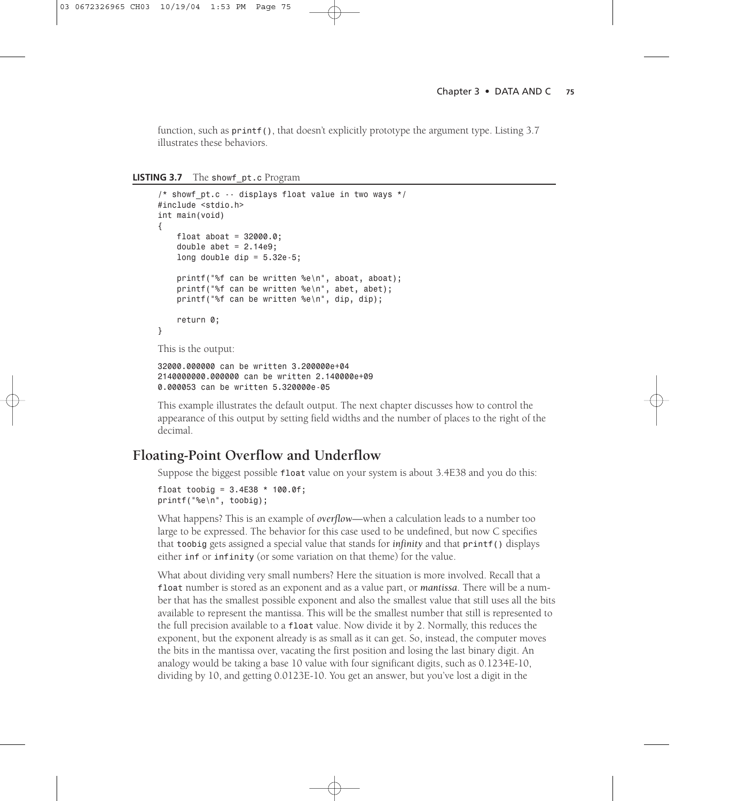function, such as *printf()*, that doesn't explicitly prototype the argument type. Listing 3.7 illustrates these behaviors.

**LISTING 3.7** The *showf\_pt.c* Program

```
/* showf_pt.c -- displays float value in two ways */
#include <stdio.h>
int main(void)
{
    float aboat = 32000.0;
    double abet = 2.14e9;
    long double dip = 5.32e-5;
    printf("%f can be written %e\n", aboat, aboat);
    printf("%f can be written %e\n", abet, abet);
    printf("%f can be written %e\n", dip, dip);
    return 0;
}
```
This is the output:

```
32000.000000 can be written 3.200000e+04
2140000000.000000 can be written 2.140000e+09
0.000053 can be written 5.320000e-05
```
This example illustrates the default output. The next chapter discusses how to control the appearance of this output by setting field widths and the number of places to the right of the decimal.

## **Floating-Point Overflow and Underflow**

Suppose the biggest possible *float* value on your system is about 3.4E38 and you do this:

```
float toobig = 3.4E38 * 100.0f;
printf("%e\n", toobig);
```
What happens? This is an example of *overflow*—when a calculation leads to a number too large to be expressed. The behavior for this case used to be undefined, but now C specifies that *toobig* gets assigned a special value that stands for *infinity* and that *printf()* displays either *inf* or *infinity* (or some variation on that theme) for the value.

What about dividing very small numbers? Here the situation is more involved. Recall that a *float* number is stored as an exponent and as a value part, or *mantissa*. There will be a number that has the smallest possible exponent and also the smallest value that still uses all the bits available to represent the mantissa. This will be the smallest number that still is represented to the full precision available to a *float* value. Now divide it by 2. Normally, this reduces the exponent, but the exponent already is as small as it can get. So, instead, the computer moves the bits in the mantissa over, vacating the first position and losing the last binary digit. An analogy would be taking a base 10 value with four significant digits, such as 0.1234E-10, dividing by 10, and getting 0.0123E-10. You get an answer, but you've lost a digit in the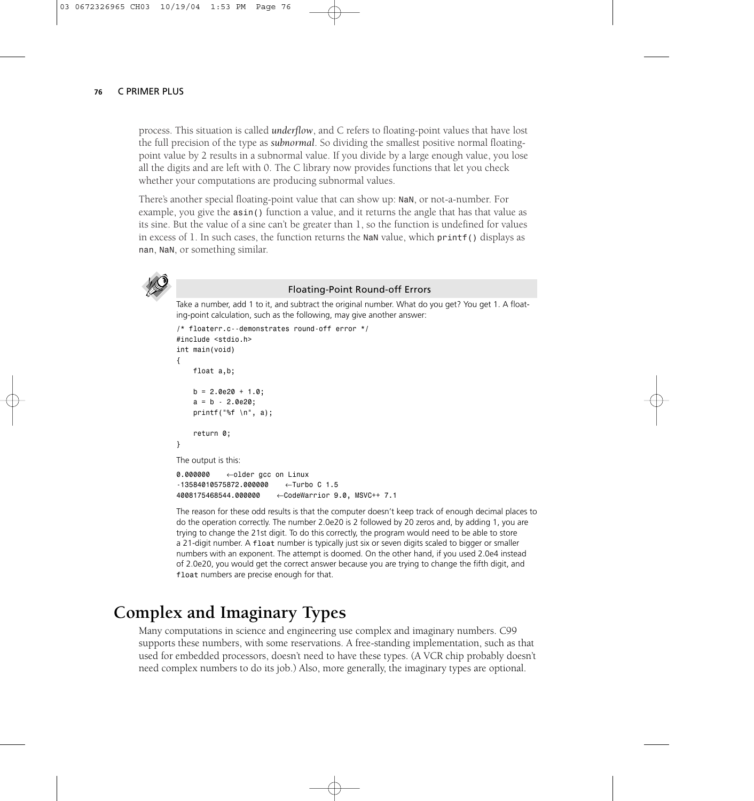process. This situation is called *underflow*, and C refers to floating-point values that have lost the full precision of the type as *subnormal*. So dividing the smallest positive normal floatingpoint value by 2 results in a subnormal value. If you divide by a large enough value, you lose all the digits and are left with 0. The C library now provides functions that let you check whether your computations are producing subnormal values.

There's another special floating-point value that can show up: *NaN*, or not-a-number. For example, you give the *asin()* function a value, and it returns the angle that has that value as its sine. But the value of a sine can't be greater than 1, so the function is undefined for values in excess of 1. In such cases, the function returns the *NaN* value, which *printf()* displays as *nan*, *NaN*, or something similar.



#### Floating-Point Round-off Errors

Take a number, add 1 to it, and subtract the original number. What do you get? You get 1. A floating-point calculation, such as the following, may give another answer:

```
/* floaterr.c--demonstrates round-off error */
#include <stdio.h>
int main(void)
{
   float a,b;
   b = 2.0e20 + 1.0;
   a = b - 2.0e20;
   printf("%f \n", a);
   return 0;
}
The output is this:
0.000000 ←older gcc on Linux
-13584010575872.000000 ←Turbo C 1.5
4008175468544.000000 ←CodeWarrior 9.0, MSVC++ 7.1
```
The reason for these odd results is that the computer doesn't keep track of enough decimal places to do the operation correctly. The number 2.0e20 is 2 followed by 20 zeros and, by adding 1, you are trying to change the 21st digit. To do this correctly, the program would need to be able to store a 21-digit number. A *float* number is typically just six or seven digits scaled to bigger or smaller numbers with an exponent. The attempt is doomed. On the other hand, if you used 2.0e4 instead of 2.0e20, you would get the correct answer because you are trying to change the fifth digit, and *float* numbers are precise enough for that.

## **Complex and Imaginary Types**

Many computations in science and engineering use complex and imaginary numbers. C99 supports these numbers, with some reservations. A free-standing implementation, such as that used for embedded processors, doesn't need to have these types. (A VCR chip probably doesn't need complex numbers to do its job.) Also, more generally, the imaginary types are optional.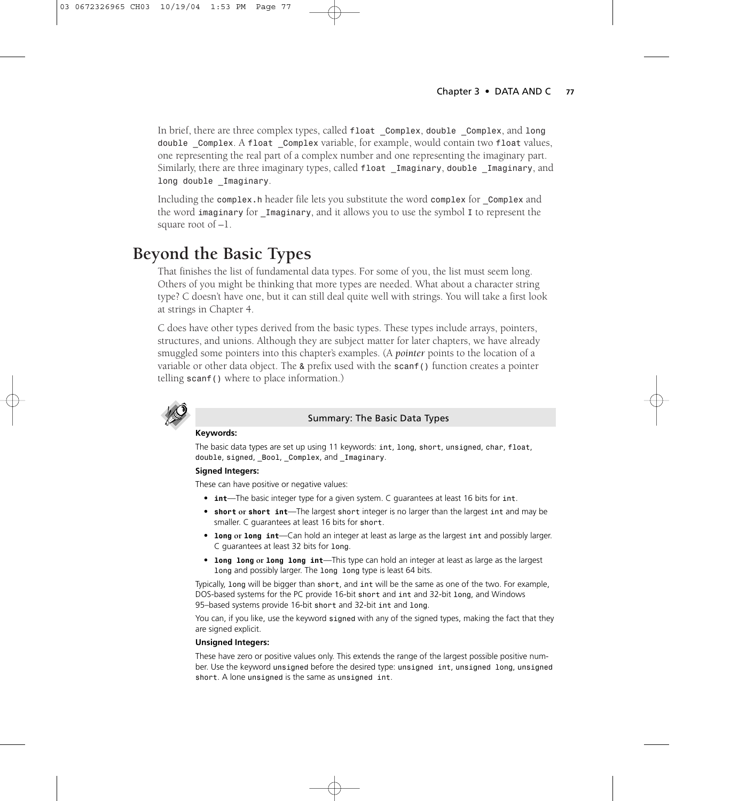In brief, there are three complex types, called *float \_Complex*, *double \_Complex*, and *long double \_Complex*. A *float \_Complex* variable, for example, would contain two *float* values, one representing the real part of a complex number and one representing the imaginary part. Similarly, there are three imaginary types, called *float \_Imaginary*, *double \_Imaginary*, and *long double \_Imaginary*.

Including the *complex.h* header file lets you substitute the word *complex* for *\_Complex* and the word *imaginary* for *\_Imaginary*, and it allows you to use the symbol *I* to represent the square root of –1.

## **Beyond the Basic Types**

That finishes the list of fundamental data types. For some of you, the list must seem long. Others of you might be thinking that more types are needed. What about a character string type? C doesn't have one, but it can still deal quite well with strings. You will take a first look at strings in Chapter 4.

C does have other types derived from the basic types. These types include arrays, pointers, structures, and unions. Although they are subject matter for later chapters, we have already smuggled some pointers into this chapter's examples. (A *pointer* points to the location of a variable or other data object. The *&* prefix used with the *scanf()* function creates a pointer telling *scanf()* where to place information.)



#### Summary: The Basic Data Types

#### **Keywords:**

The basic data types are set up using 11 keywords: *int*, *long*, *short*, *unsigned*, *char*, *float*, *double*, *signed*, *\_Bool*, *\_Complex*, and *\_Imaginary*.

#### **Signed Integers:**

These can have positive or negative values:

- *int*—The basic integer type for a given system. C guarantees at least 16 bits for *int*.
- *short* **or** *short int*—The largest *short* integer is no larger than the largest *int* and may be smaller. C guarantees at least 16 bits for *short*.
- *long* **or** *long int*—Can hold an integer at least as large as the largest *int* and possibly larger. C guarantees at least 32 bits for *long*.
- *long long* **or** *long long int*—This type can hold an integer at least as large as the largest *long* and possibly larger. The *long long* type is least 64 bits.

Typically, *long* will be bigger than *short*, and *int* will be the same as one of the two. For example, DOS-based systems for the PC provide 16-bit *short* and *int* and 32-bit *long*, and Windows 95–based systems provide 16-bit *short* and 32-bit *int* and *long*.

You can, if you like, use the keyword *signed* with any of the signed types, making the fact that they are signed explicit.

#### **Unsigned Integers:**

These have zero or positive values only. This extends the range of the largest possible positive number. Use the keyword *unsigned* before the desired type: *unsigned int*, *unsigned long*, *unsigned short*. A lone *unsigned* is the same as *unsigned int*.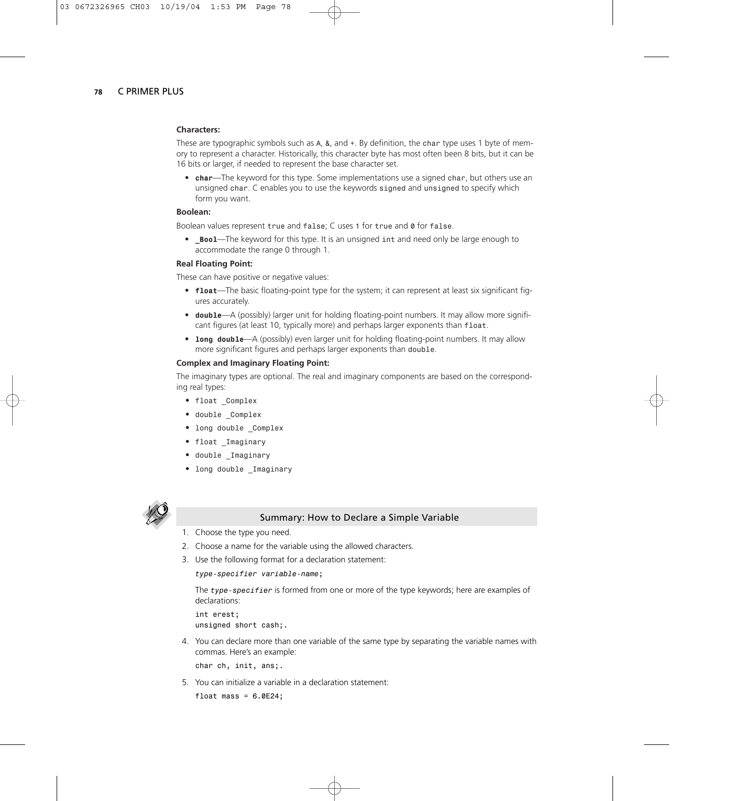#### **Characters:**

These are typographic symbols such as *A*, *&*, and *+*. By definition, the *char* type uses 1 byte of memory to represent a character. Historically, this character byte has most often been 8 bits, but it can be 16 bits or larger, if needed to represent the base character set.

• *char*—The keyword for this type. Some implementations use a signed *char*, but others use an unsigned *char*. C enables you to use the keywords *signed* and *unsigned* to specify which form you want.

#### **Boolean:**

Boolean values represent *true* and *false*; C uses *1* for *true* and *0* for *false*.

• **Bool**—The keyword for this type. It is an unsigned int and need only be large enough to accommodate the range 0 through 1.

#### **Real Floating Point:**

These can have positive or negative values:

- *float*—The basic floating-point type for the system; it can represent at least six significant figures accurately.
- *double*—A (possibly) larger unit for holding floating-point numbers. It may allow more significant figures (at least 10, typically more) and perhaps larger exponents than *float*.
- *long double*—A (possibly) even larger unit for holding floating-point numbers. It may allow more significant figures and perhaps larger exponents than *double*.

#### **Complex and Imaginary Floating Point:**

The imaginary types are optional. The real and imaginary components are based on the corresponding real types:

- *float \_Complex*
- *double \_Complex*
- *long double \_Complex*
- *float \_Imaginary*
- *double \_Imaginary*
- *long double \_Imaginary*



#### Summary: How to Declare a Simple Variable

- 1. Choose the type you need.
- 2. Choose a name for the variable using the allowed characters.
- 3. Use the following format for a declaration statement:

```
type-specifier variable-name;
```
The *type-specifier* is formed from one or more of the type keywords; here are examples of declarations:

*int erest; unsigned short cash;.*

4. You can declare more than one variable of the same type by separating the variable names with commas. Here's an example:

*char ch, init, ans;.*

5. You can initialize a variable in a declaration statement:

*float mass = 6.0E24;*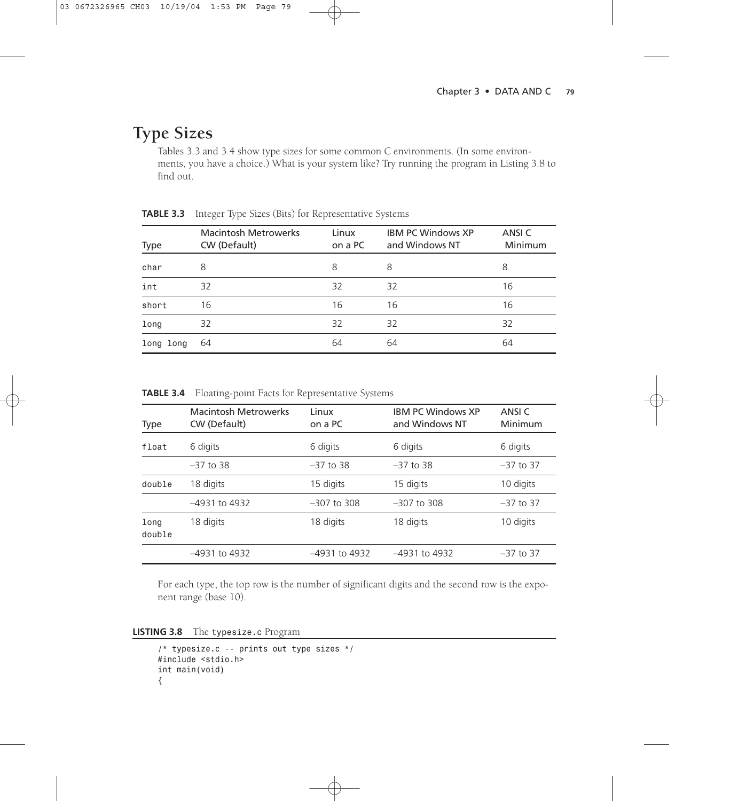## **Type Sizes**

Tables 3.3 and 3.4 show type sizes for some common C environments. (In some environments, you have a choice.) What is your system like? Try running the program in Listing 3.8 to find out.

| <b>Type</b> | <b>Macintosh Metrowerks</b><br>CW (Default) | Linux<br>on a PC | <b>IBM PC Windows XP</b><br>and Windows NT | ANSI C<br>Minimum |
|-------------|---------------------------------------------|------------------|--------------------------------------------|-------------------|
| char        | 8                                           | 8                | 8                                          | 8                 |
| int         | 32                                          | 32               | 32                                         | 16                |
| short       | 16                                          | 16               | 16                                         | 16                |
| long        | 32                                          | 32               | 32                                         | 32                |
| long long   | 64                                          | 64               | 64                                         | 64                |

**TABLE 3.3** Integer Type Sizes (Bits) for Representative Systems

| <b>TABLE 3.4</b> Floating-point Facts for Representative Systems |  |
|------------------------------------------------------------------|--|
|------------------------------------------------------------------|--|

| Type           | <b>Macintosh Metrowerks</b><br>CW (Default) | Linux<br>on a PC | <b>IBM PC Windows XP</b><br>and Windows NT | ANSI C<br>Minimum |
|----------------|---------------------------------------------|------------------|--------------------------------------------|-------------------|
| float          | 6 digits                                    | 6 digits         | 6 digits                                   | 6 digits          |
|                | $-37$ to 38                                 | $-37$ to 38      | $-37$ to 38                                | $-37$ to 37       |
| double         | 18 digits                                   | 15 digits        | 15 digits                                  | 10 digits         |
|                | $-4931$ to 4932                             | $-307$ to 308    | $-307$ to 308                              | $-37$ to 37       |
| long<br>double | 18 digits                                   | 18 digits        | 18 digits                                  | 10 digits         |
|                | $-4931$ to 4932                             | $-4931$ to 4932  | $-4931$ to 4932                            | $-37$ to 37       |

For each type, the top row is the number of significant digits and the second row is the exponent range (base 10).

```
LISTING 3.8 The typesize.c Program
```

```
/* typesize.c -- prints out type sizes */
#include <stdio.h>
int main(void)
{
```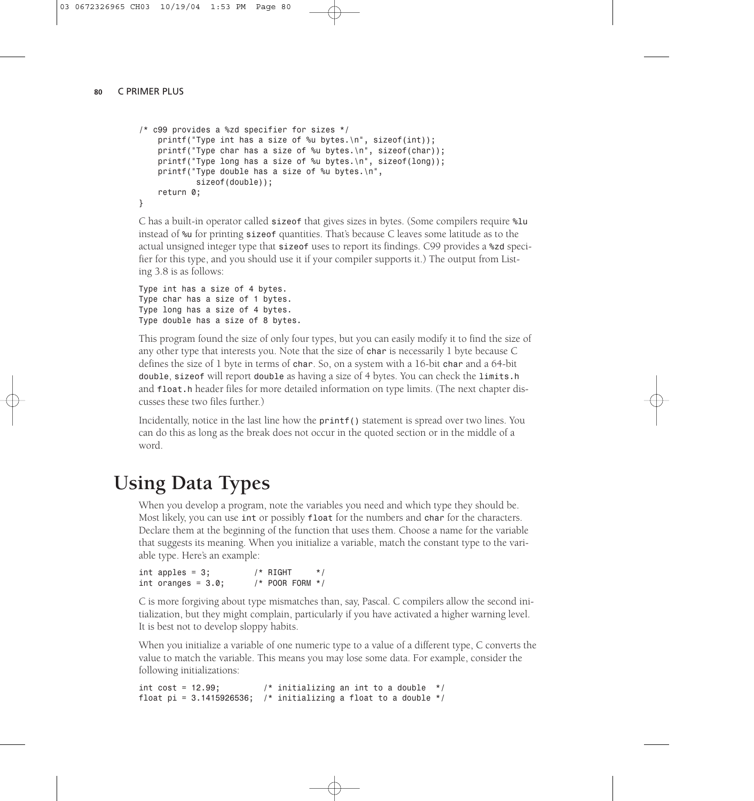```
/* c99 provides a %zd specifier for sizes */
    printf("Type int has a size of %u bytes.\n", sizeof(int));
    printf("Type char has a size of %u bytes.\n", sizeof(char));
    printf("Type long has a size of %u bytes.\n", sizeof(long));
    printf("Type double has a size of %u bytes.\n",
            sizeof(double));
   return 0;
}
```
C has a built-in operator called *sizeof* that gives sizes in bytes. (Some compilers require *%lu* instead of *%u* for printing *sizeof* quantities. That's because C leaves some latitude as to the actual unsigned integer type that *sizeof* uses to report its findings. C99 provides a *%zd* specifier for this type, and you should use it if your compiler supports it.) The output from Listing 3.8 is as follows:

*Type int has a size of 4 bytes. Type char has a size of 1 bytes. Type long has a size of 4 bytes. Type double has a size of 8 bytes.*

This program found the size of only four types, but you can easily modify it to find the size of any other type that interests you. Note that the size of *char* is necessarily 1 byte because C defines the size of 1 byte in terms of *char*. So, on a system with a 16-bit *char* and a 64-bit *double*, *sizeof* will report *double* as having a size of 4 bytes. You can check the *limits.h* and *float.h* header files for more detailed information on type limits. (The next chapter discusses these two files further.)

Incidentally, notice in the last line how the *printf()* statement is spread over two lines. You can do this as long as the break does not occur in the quoted section or in the middle of a word.

# **Using Data Types**

When you develop a program, note the variables you need and which type they should be. Most likely, you can use *int* or possibly *float* for the numbers and *char* for the characters. Declare them at the beginning of the function that uses them. Choose a name for the variable that suggests its meaning. When you initialize a variable, match the constant type to the variable type. Here's an example:

```
int apples = 3; /* RIGHT */
int oranges = 3.0; /* POOR FORM */
```
C is more forgiving about type mismatches than, say, Pascal. C compilers allow the second initialization, but they might complain, particularly if you have activated a higher warning level. It is best not to develop sloppy habits.

When you initialize a variable of one numeric type to a value of a different type, C converts the value to match the variable. This means you may lose some data. For example, consider the following initializations:

*int cost = 12.99; /\* initializing an int to a double \*/ float pi = 3.1415926536; /\* initializing a float to a double \*/*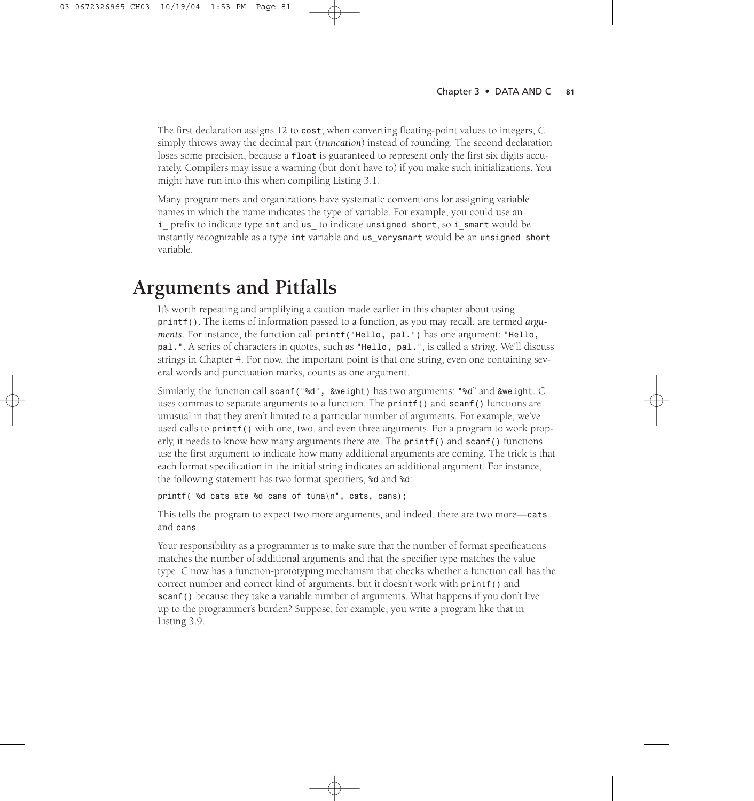The first declaration assigns 12 to *cost*; when converting floating-point values to integers, C simply throws away the decimal part (*truncation*) instead of rounding. The second declaration loses some precision, because a *float* is guaranteed to represent only the first six digits accurately. Compilers may issue a warning (but don't have to) if you make such initializations. You might have run into this when compiling Listing 3.1.

Many programmers and organizations have systematic conventions for assigning variable names in which the name indicates the type of variable. For example, you could use an *i\_* prefix to indicate type *int* and *us\_* to indicate *unsigned short*, so *i\_smart* would be instantly recognizable as a type *int* variable and *us\_verysmart* would be an *unsigned short* variable.

# **Arguments and Pitfalls**

It's worth repeating and amplifying a caution made earlier in this chapter about using *printf()*. The items of information passed to a function, as you may recall, are termed *arguments*. For instance, the function call *printf("Hello, pal.")* has one argument: *"Hello, pal."*. A series of characters in quotes, such as *"Hello, pal."*, is called a *string*. We'll discuss strings in Chapter 4. For now, the important point is that one string, even one containing several words and punctuation marks, counts as one argument.

Similarly, the function call *scanf("%d", &weight)* has two arguments: *"%d*" and *&weight*. C uses commas to separate arguments to a function. The *printf()* and *scanf()* functions are unusual in that they aren't limited to a particular number of arguments. For example, we've used calls to *printf()* with one, two, and even three arguments. For a program to work properly, it needs to know how many arguments there are. The *printf()* and *scanf()* functions use the first argument to indicate how many additional arguments are coming. The trick is that each format specification in the initial string indicates an additional argument. For instance, the following statement has two format specifiers, *%d* and *%d*:

```
printf("%d cats ate %d cans of tuna\n", cats, cans);
```
This tells the program to expect two more arguments, and indeed, there are two more—*cats* and *cans*.

Your responsibility as a programmer is to make sure that the number of format specifications matches the number of additional arguments and that the specifier type matches the value type. C now has a function-prototyping mechanism that checks whether a function call has the correct number and correct kind of arguments, but it doesn't work with *printf()* and *scanf()* because they take a variable number of arguments. What happens if you don't live up to the programmer's burden? Suppose, for example, you write a program like that in Listing 3.9.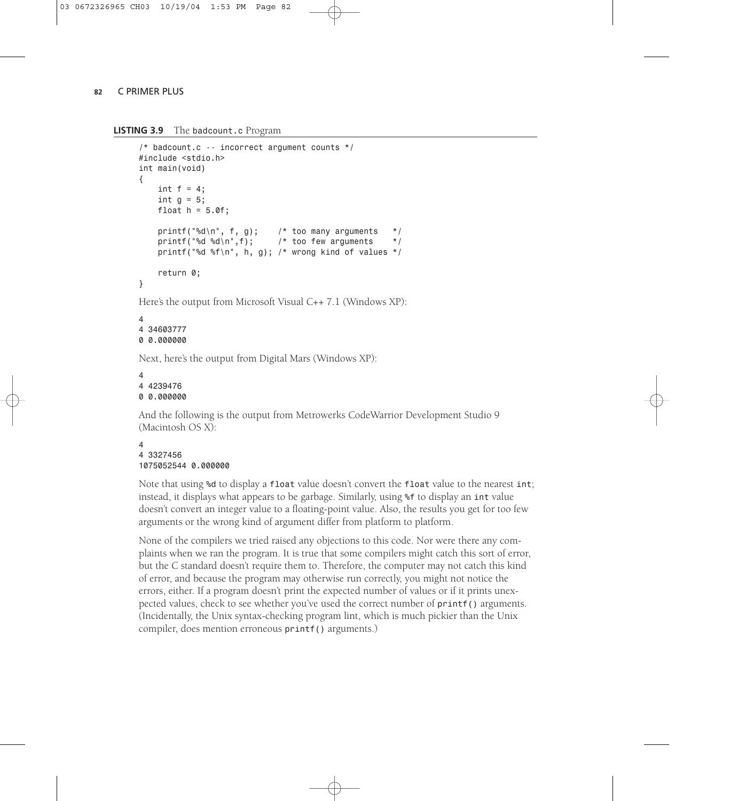```
LISTING 3.9 The badcount.c Program
```

```
/* badcount.c -- incorrect argument counts */
#include <stdio.h>
int main(void)
{
   int f = 4;
   int g = 5;
   float h = 5.0f;
   printf("%d\n", f, g); /* too many arguments */
   printf("%d %d\n",f); /* too few arguments */
   printf("%d %f\n", h, g); /* wrong kind of values */
   return 0;
}
```
Here's the output from Microsoft Visual C++ 7.1 (Windows XP):

*4 4 34603777 0 0.000000*

Next, here's the output from Digital Mars (Windows XP):

```
4
4 4239476
0 0.000000
```
And the following is the output from Metrowerks CodeWarrior Development Studio 9 (Macintosh OS X):

```
4
4 3327456
1075052544 0.000000
```
Note that using *%d* to display a *float* value doesn't convert the *float* value to the nearest *int*; instead, it displays what appears to be garbage. Similarly, using *%f* to display an *int* value doesn't convert an integer value to a floating-point value. Also, the results you get for too few arguments or the wrong kind of argument differ from platform to platform.

None of the compilers we tried raised any objections to this code. Nor were there any complaints when we ran the program. It is true that some compilers might catch this sort of error, but the C standard doesn't require them to. Therefore, the computer may not catch this kind of error, and because the program may otherwise run correctly, you might not notice the errors, either. If a program doesn't print the expected number of values or if it prints unexpected values, check to see whether you've used the correct number of *printf()* arguments. (Incidentally, the Unix syntax-checking program lint, which is much pickier than the Unix compiler, does mention erroneous *printf()* arguments.)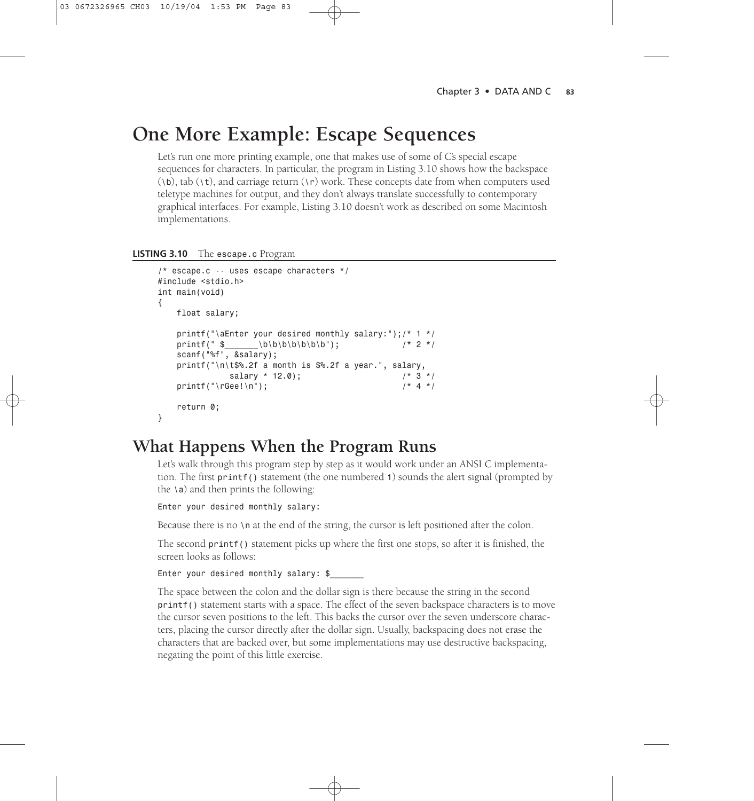# **One More Example: Escape Sequences**

Let's run one more printing example, one that makes use of some of C's special escape sequences for characters. In particular, the program in Listing 3.10 shows how the backspace (*\b*), tab (*\t*), and carriage return (*\r*) work. These concepts date from when computers used teletype machines for output, and they don't always translate successfully to contemporary graphical interfaces. For example, Listing 3.10 doesn't work as described on some Macintosh implementations.

```
LISTING 3.10 The escape.c Program
```

```
/* escape.c -- uses escape characters */
#include <stdio.h>
int main(void)
{
   float salary;
   printf("\aEnter your desired monthly salary:");/* 1 */
   printf(" $_______\b\b\b\b\b\b\b"); /* 2 */
   scanf("%f", &salary);
   printf("\n\t$%.2f a month is $%.2f a year.", salary,
              salary * 12.0); /* 3 */
   printf(''\nGe!\n");
   return 0;
}
```
## **What Happens When the Program Runs**

Let's walk through this program step by step as it would work under an ANSI C implementation. The first *printf()* statement (the one numbered *1*) sounds the alert signal (prompted by the *\a*) and then prints the following:

```
Enter your desired monthly salary:
```
Because there is no *\n* at the end of the string, the cursor is left positioned after the colon.

The second *printf()* statement picks up where the first one stops, so after it is finished, the screen looks as follows:

```
Enter your desired monthly salary: $_______
```
The space between the colon and the dollar sign is there because the string in the second *printf()* statement starts with a space. The effect of the seven backspace characters is to move the cursor seven positions to the left. This backs the cursor over the seven underscore characters, placing the cursor directly after the dollar sign. Usually, backspacing does not erase the characters that are backed over, but some implementations may use destructive backspacing, negating the point of this little exercise.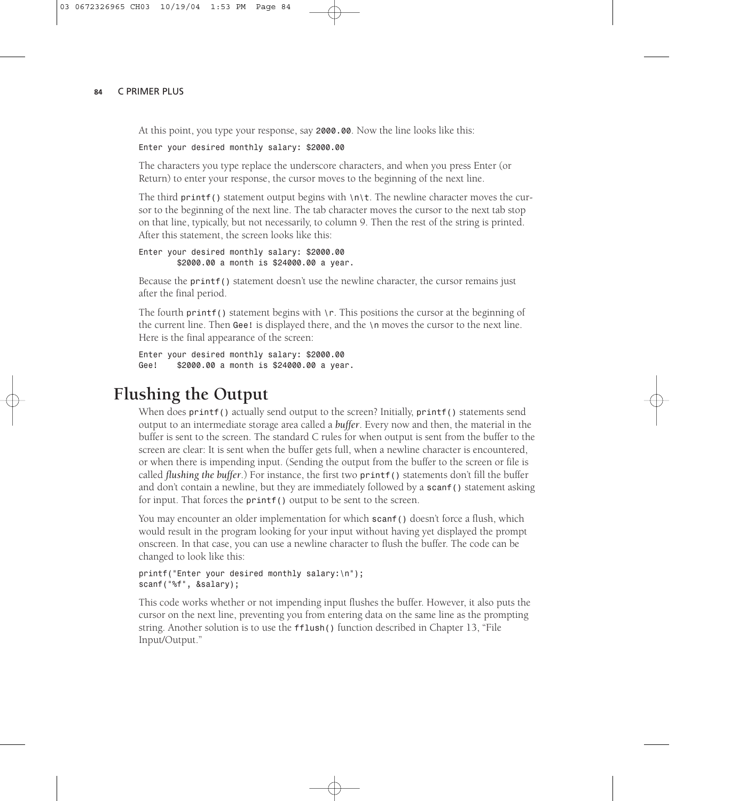At this point, you type your response, say *2000.00*. Now the line looks like this:

*Enter your desired monthly salary: \$2000.00*

The characters you type replace the underscore characters, and when you press Enter (or Return) to enter your response, the cursor moves to the beginning of the next line.

The third *printf()* statement output begins with *\n\t*. The newline character moves the cursor to the beginning of the next line. The tab character moves the cursor to the next tab stop on that line, typically, but not necessarily, to column 9. Then the rest of the string is printed. After this statement, the screen looks like this:

*Enter your desired monthly salary: \$2000.00 \$2000.00 a month is \$24000.00 a year.*

Because the *printf()* statement doesn't use the newline character, the cursor remains just after the final period.

The fourth *printf()* statement begins with *\r*. This positions the cursor at the beginning of the current line. Then *Gee!* is displayed there, and the *\n* moves the cursor to the next line. Here is the final appearance of the screen:

*Enter your desired monthly salary: \$2000.00 Gee! \$2000.00 a month is \$24000.00 a year.*

## **Flushing the Output**

When does *printf()* actually send output to the screen? Initially, *printf()* statements send output to an intermediate storage area called a *buffer*. Every now and then, the material in the buffer is sent to the screen. The standard C rules for when output is sent from the buffer to the screen are clear: It is sent when the buffer gets full, when a newline character is encountered, or when there is impending input. (Sending the output from the buffer to the screen or file is called *flushing the buffer*.) For instance, the first two *printf()* statements don't fill the buffer and don't contain a newline, but they are immediately followed by a **scanf()** statement asking for input. That forces the *printf()* output to be sent to the screen.

You may encounter an older implementation for which *scanf()* doesn't force a flush, which would result in the program looking for your input without having yet displayed the prompt onscreen. In that case, you can use a newline character to flush the buffer. The code can be changed to look like this:

```
printf("Enter your desired monthly salary:\n");
scanf("%f", &salary);
```
This code works whether or not impending input flushes the buffer. However, it also puts the cursor on the next line, preventing you from entering data on the same line as the prompting string. Another solution is to use the *fflush()* function described in Chapter 13, "File Input/Output."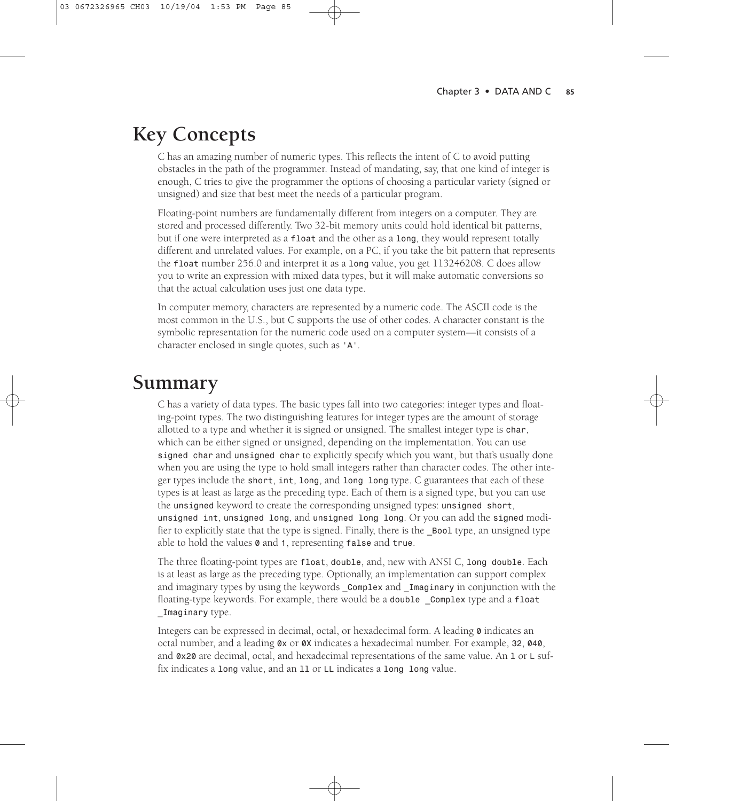# **Key Concepts**

C has an amazing number of numeric types. This reflects the intent of C to avoid putting obstacles in the path of the programmer. Instead of mandating, say, that one kind of integer is enough, C tries to give the programmer the options of choosing a particular variety (signed or unsigned) and size that best meet the needs of a particular program.

Floating-point numbers are fundamentally different from integers on a computer. They are stored and processed differently. Two 32-bit memory units could hold identical bit patterns, but if one were interpreted as a *float* and the other as a *long*, they would represent totally different and unrelated values. For example, on a PC, if you take the bit pattern that represents the *float* number 256.0 and interpret it as a *long* value, you get 113246208. C does allow you to write an expression with mixed data types, but it will make automatic conversions so that the actual calculation uses just one data type.

In computer memory, characters are represented by a numeric code. The ASCII code is the most common in the U.S., but C supports the use of other codes. A character constant is the symbolic representation for the numeric code used on a computer system—it consists of a character enclosed in single quotes, such as *'A'*.

# **Summary**

C has a variety of data types. The basic types fall into two categories: integer types and floating-point types. The two distinguishing features for integer types are the amount of storage allotted to a type and whether it is signed or unsigned. The smallest integer type is *char*, which can be either signed or unsigned, depending on the implementation. You can use *signed char* and *unsigned char* to explicitly specify which you want, but that's usually done when you are using the type to hold small integers rather than character codes. The other integer types include the *short*, *int*, *long*, and *long long* type. C guarantees that each of these types is at least as large as the preceding type. Each of them is a signed type, but you can use the *unsigned* keyword to create the corresponding unsigned types: *unsigned short*, *unsigned int*, *unsigned long*, and *unsigned long long*. Or you can add the *signed* modifier to explicitly state that the type is signed. Finally, there is the *\_Bool* type, an unsigned type able to hold the values *0* and *1*, representing *false* and *true*.

The three floating-point types are *float*, *double*, and, new with ANSI C, *long double*. Each is at least as large as the preceding type. Optionally, an implementation can support complex and imaginary types by using the keywords *\_Complex* and *\_Imaginary* in conjunction with the floating-type keywords. For example, there would be a *double \_Complex* type and a *float \_Imaginary* type.

Integers can be expressed in decimal, octal, or hexadecimal form. A leading *0* indicates an octal number, and a leading *0x* or *0X* indicates a hexadecimal number. For example, *32*, *040*, and *0x20* are decimal, octal, and hexadecimal representations of the same value. An *l* or *L* suffix indicates a *long* value, and an *ll* or *LL* indicates a *long long* value.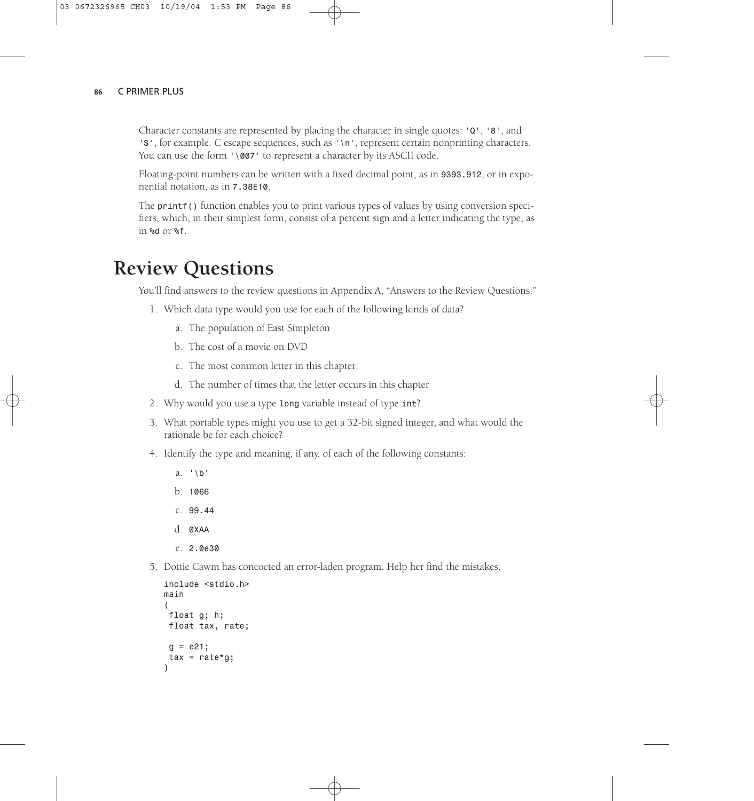Character constants are represented by placing the character in single quotes: *'Q'*, *'8'*, and *'\$'*, for example. C escape sequences, such as *'\n'*, represent certain nonprinting characters. You can use the form '\007' to represent a character by its ASCII code.

Floating-point numbers can be written with a fixed decimal point, as in *9393.912*, or in exponential notation, as in *7.38E10*.

The *printf()* function enables you to print various types of values by using conversion specifiers, which, in their simplest form, consist of a percent sign and a letter indicating the type, as in *%d* or *%f*.

## **Review Questions**

You'll find answers to the review questions in Appendix A, "Answers to the Review Questions."

- 1. Which data type would you use for each of the following kinds of data?
	- a. The population of East Simpleton
	- b. The cost of a movie on DVD
	- c. The most common letter in this chapter
	- d. The number of times that the letter occurs in this chapter
- 2. Why would you use a type *long* variable instead of type *int*?
- 3. What portable types might you use to get a 32-bit signed integer, and what would the rationale be for each choice?
- 4. Identify the type and meaning, if any, of each of the following constants:
	- a. *'\b'* b. *1066* c. *99.44* d. *0XAA* e. *2.0e30*
- 5. Dottie Cawm has concocted an error-laden program. Help her find the mistakes.

```
include <stdio.h>
main
(
float g; h;
float tax, rate;
 g = e21;
 tax = rate*g;
)
```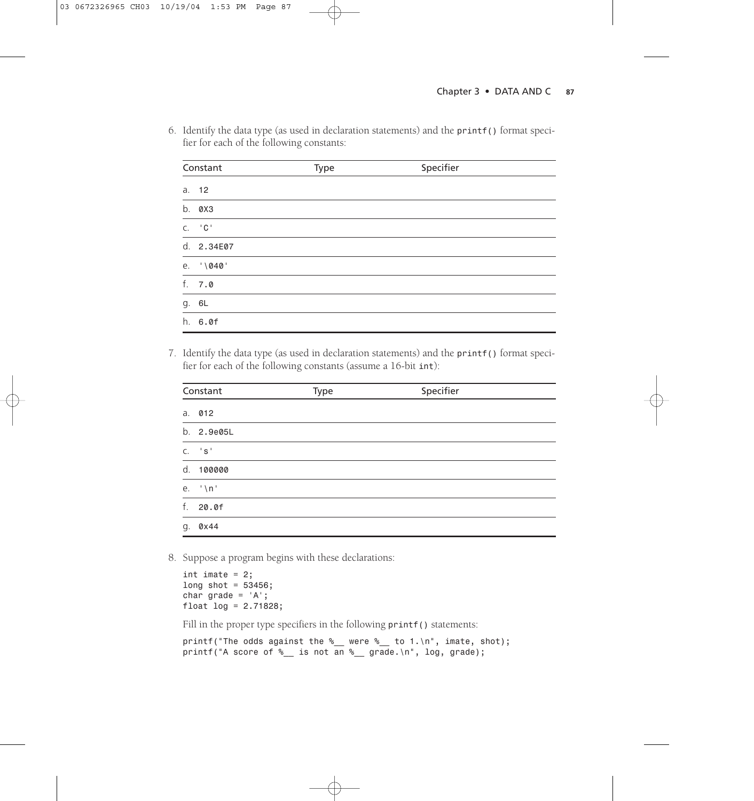6. Identify the data type (as used in declaration statements) and the *printf()* format specifier for each of the following constants:

| Constant |                    | Type | Specifier |  |
|----------|--------------------|------|-----------|--|
|          | a. 12              |      |           |  |
|          | b. 0X3             |      |           |  |
|          | $C.$ $C^{\dagger}$ |      |           |  |
|          | d. 2.34E07         |      |           |  |
|          | e. '\040'          |      |           |  |
|          | f. 7.0             |      |           |  |
|          | g. 6L              |      |           |  |
|          | h. 6.0f            |      |           |  |

7. Identify the data type (as used in declaration statements) and the *printf()* format specifier for each of the following constants (assume a 16-bit *int*):

| Constant |            | Type | Specifier |  |
|----------|------------|------|-----------|--|
|          | a. 012     |      |           |  |
|          | b. 2.9e05L |      |           |  |
|          | $C.$ 's'   |      |           |  |
|          | d. 100000  |      |           |  |
|          | $e.$ '\n'  |      |           |  |
|          | f. 20.0f   |      |           |  |
|          | g. 0x44    |      |           |  |

8. Suppose a program begins with these declarations:

```
int imate = 2;
long shot = 53456;
char grade = 'A';
float log = 2.71828;
```
Fill in the proper type specifiers in the following *printf()* statements:

```
printf("The odds against the %__ were %__ to 1.\n", imate, shot);
printf("A score of %__ is not an %__ grade.\n", log, grade);
```